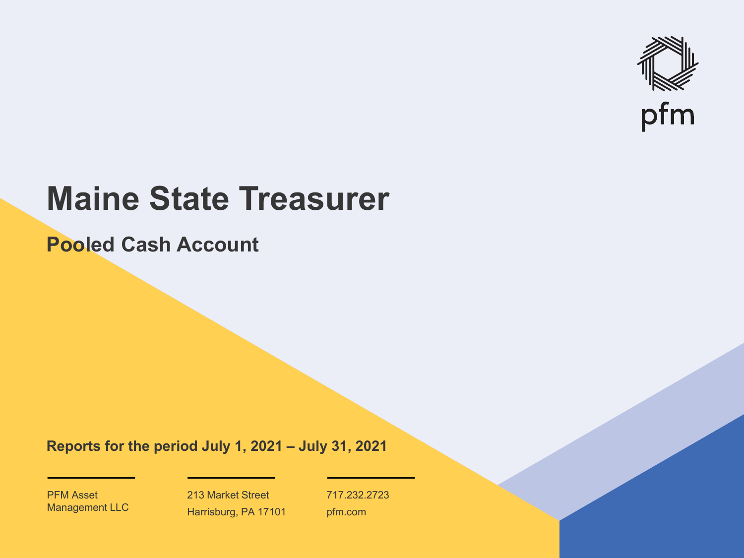

# **Maine State Treasurer**

**Pooled Cash Account**

**Reports for the period July 1, 2021 – July 31, 2021**

PFM Asset Management LLC

213 Market Street Harrisburg, PA 17101 717.232.2723 pfm.com

 $\mathcal{P}_\text{max}$  and  $\mathcal{P}_\text{max}$  is the probability of  $\mathcal{P}_\text{max}$  and  $\mathcal{P}_\text{max}$  and  $\mathcal{P}_\text{max}$  and  $\mathcal{P}_\text{max}$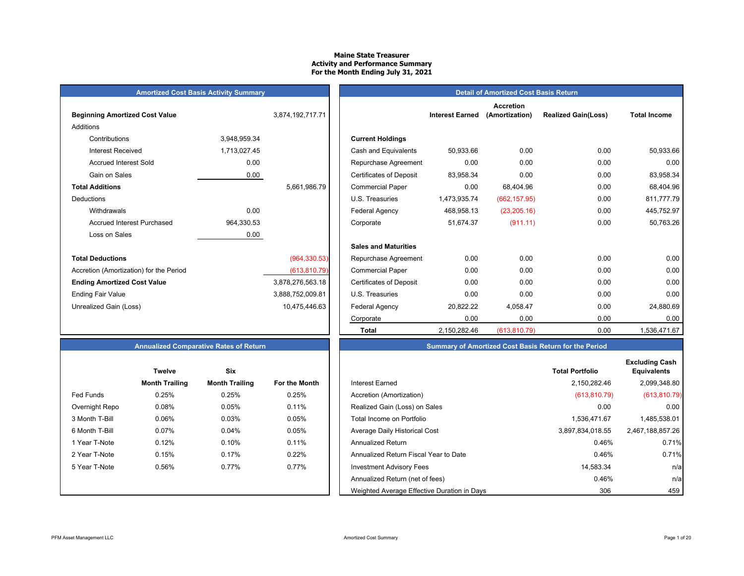## **Maine State TreasurerActivity and Performance Summary For the Month Ending July 31, 2021**

**Current Holdings** 

## **Amortized Cost Basis Activity Summary** *Detail of Amortized Cost Basis Return*

| <b>Beginning Amortized Cost Value</b><br>Additions |              | 3,874,192,717.71 |
|----------------------------------------------------|--------------|------------------|
| Contributions                                      |              |                  |
|                                                    | 3,948,959.34 |                  |
| Interest Received                                  | 1,713,027.45 |                  |
| <b>Accrued Interest Sold</b>                       | 0.00         |                  |
| Gain on Sales                                      | 0.00         |                  |
| <b>Total Additions</b>                             |              | 5,661,986.79     |
| Deductions                                         |              |                  |
| Withdrawals                                        | 0.00         |                  |
| Accrued Interest Purchased                         | 964,330.53   |                  |
| Loss on Sales                                      | 0.00         |                  |
| <b>Total Deductions</b>                            |              | (964, 330.53)    |
| Accretion (Amortization) for the Period            |              | (613, 810.79)    |
| <b>Ending Amortized Cost Value</b>                 |              | 3,878,276,563.18 |
| <b>Ending Fair Value</b>                           |              | 3,888,752,009.81 |
| Unrealized Gain (Loss)                             |              | 10,475,446.63    |

# Certificates of Deposit 83,958.34 0.00 0.00 83,958.34 5,661,986.79 Commercial Paper 0.00 68,404.96 0.00 68,404.96 U.S. Treasuries 1,473,935.74 (662,157.95) 0.00 811,777.79 Withdrawals 0.00 | | Federal Agency 468,958.13 (23,205.16) 0.00 445,752.97 Accrued Interest Purchased 964,330.53 | | Corporate 51,674.37 (911.11) 0.00 50,763.26 **Sales and Maturities** Repurchase Agreement  $0.00$  0.00 0.00 0.00 0.00 0.00 Accretion (Amortization) for the Period (613,810.79)| | Commercial Paper 0.00 0.00 0.00 **Ending Amortizates of Deposit 6,878,276,276,276,276,276,378,276,376,376,376,376,376,376,376,376,376,** Ending Fair Value 3,888,752,009.81 | | U.S. Treasuries 0.00 0.00 0.00 0.00 Unrealized Gain (Loss) 10,475,446.63 Federal Agency 20,822.22 4,058.47 0.00 24,880.69 Corporate 0.00 0.00 0.00 0.00  **Total**2,150,282.46 (613,810.79) 0.00 1,536,471.67

**Interest Earned** (Amortization)

**Accretion** 

Cash and Equivalents 50,933.66 0.00 0.00 0.00 50,933.66 Repurchase Agreement  $0.00$  0.00 0.00 0.00 0.00 0.00

**(Amortization) Realized Gain(Loss) Total Income**

## **Annualized Comparative Rates of Return**

|                | <b>Twelve</b>         | Six                   |               |
|----------------|-----------------------|-----------------------|---------------|
|                | <b>Month Trailing</b> | <b>Month Trailing</b> | For the Month |
| Fed Funds      | 0.25%                 | 0.25%                 | 0.25%         |
| Overnight Repo | 0.08%                 | 0.05%                 | 0.11%         |
| 3 Month T-Bill | 0.06%                 | 0.03%                 | 0.05%         |
| 6 Month T-Bill | 0.07%                 | 0.04%                 | 0.05%         |
| 1 Year T-Note  | 0.12%                 | 0.10%                 | 0.11%         |
| 2 Year T-Note  | 0.15%                 | 0.17%                 | 0.22%         |
| 5 Year T-Note  | 0.56%                 | 0.77%                 | 0.77%         |
|                |                       |                       |               |
|                |                       |                       |               |

|  | <b>Summary of Amortized Cost Basis Return for the Period</b> |  |
|--|--------------------------------------------------------------|--|
|  |                                                              |  |

|                | <b>Twelve</b>         | <b>Six</b>            |               |                                             | <b>Total Portfolio</b> | <b>Excluding Cash</b><br><b>Equivalents</b> |
|----------------|-----------------------|-----------------------|---------------|---------------------------------------------|------------------------|---------------------------------------------|
|                | <b>Month Trailing</b> | <b>Month Trailing</b> | For the Month | Interest Earned                             | 2.150.282.46           | 2,099,348.80                                |
| Fed Funds      | 0.25%                 | 0.25%                 | 0.25%         | Accretion (Amortization)                    | (613, 810.79)          | (613, 810.79)                               |
| Overnight Repo | 0.08%                 | 0.05%                 | 0.11%         | Realized Gain (Loss) on Sales               | 0.00                   | 0.00                                        |
| 3 Month T-Bill | 0.06%                 | 0.03%                 | 0.05%         | Total Income on Portfolio                   | 1.536.471.67           | 1,485,538.01                                |
| 6 Month T-Bill | 0.07%                 | 0.04%                 | 0.05%         | Average Daily Historical Cost               | 3,897,834,018.55       | 2,467,188,857.26                            |
| 1 Year T-Note  | 0.12%                 | 0.10%                 | 0.11%         | <b>Annualized Return</b>                    | 0.46%                  | 0.71%                                       |
| 2 Year T-Note  | 0.15%                 | 0.17%                 | 0.22%         | Annualized Return Fiscal Year to Date       | 0.46%                  | 0.71%                                       |
| 5 Year T-Note  | 0.56%                 | 0.77%                 | 0.77%         | <b>Investment Advisory Fees</b>             | 14,583.34              | n/a                                         |
|                |                       |                       |               | Annualized Return (net of fees)             | 0.46%                  | n/a                                         |
|                |                       |                       |               | Weighted Average Effective Duration in Days | 306                    | 459                                         |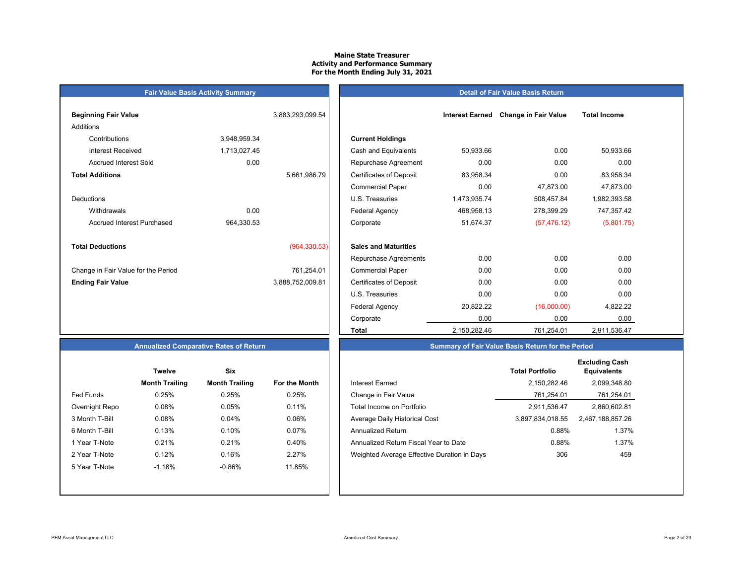## **Maine State Treasurer Activity and Performance Summary For the Month Ending July 31, 2021**

## **Fair Value Basis Activity Summary**

## **Detail of Fair Value Basis Return**

| <b>Beginning Fair Value</b>         |              | 3,883,293,099.54 |                                |
|-------------------------------------|--------------|------------------|--------------------------------|
| Additions                           |              |                  |                                |
| Contributions                       | 3,948,959.34 |                  | <b>Current Holdings</b>        |
| Interest Received                   | 1,713,027.45 |                  | Cash and Equivalents           |
| <b>Accrued Interest Sold</b>        | 0.00         |                  | Repurchase Agreeme             |
| <b>Total Additions</b>              |              | 5,661,986.79     | <b>Certificates of Deposit</b> |
|                                     |              |                  | <b>Commercial Paper</b>        |
| Deductions                          |              |                  | U.S. Treasuries                |
| Withdrawals                         | 0.00         |                  | <b>Federal Agency</b>          |
| <b>Accrued Interest Purchased</b>   | 964,330.53   |                  | Corporate                      |
| <b>Total Deductions</b>             |              | (964, 330.53)    | <b>Sales and Maturities</b>    |
|                                     |              |                  | Repurchase Agreeme             |
| Change in Fair Value for the Period |              | 761,254.01       | <b>Commercial Paper</b>        |
| <b>Ending Fair Value</b>            |              | 3,888,752,009.81 | <b>Certificates of Deposit</b> |
|                                     |              |                  | II C Tropourion                |

| Beginning Fair Value                |              | 3,883,293,099.54 |                                | <b>Interest Earned</b> | <b>Change in Fair Value</b> | <b>Total Income</b> |  |
|-------------------------------------|--------------|------------------|--------------------------------|------------------------|-----------------------------|---------------------|--|
| Additions                           |              |                  |                                |                        |                             |                     |  |
| Contributions                       | 3,948,959.34 |                  | <b>Current Holdings</b>        |                        |                             |                     |  |
| <b>Interest Received</b>            | 1,713,027.45 |                  | Cash and Equivalents           | 50,933.66              | 0.00                        | 50,933.66           |  |
| <b>Accrued Interest Sold</b>        | 0.00         |                  | Repurchase Agreement           | 0.00                   | 0.00                        | 0.00                |  |
| <b>Total Additions</b>              |              | 5,661,986.79     | <b>Certificates of Deposit</b> | 83,958.34              | 0.00                        | 83,958.34           |  |
|                                     |              |                  | <b>Commercial Paper</b>        | 0.00                   | 47,873.00                   | 47,873.00           |  |
| Deductions                          |              |                  | U.S. Treasuries                | 1,473,935.74           | 508,457.84                  | 1,982,393.58        |  |
| Withdrawals                         | 0.00         |                  | Federal Agency                 | 468,958.13             | 278,399.29                  | 747,357.42          |  |
| <b>Accrued Interest Purchased</b>   | 964,330.53   |                  | Corporate                      | 51,674.37              | (57, 476.12)                | (5,801.75)          |  |
| <b>Total Deductions</b>             |              | (964, 330.53)    | <b>Sales and Maturities</b>    |                        |                             |                     |  |
|                                     |              |                  | Repurchase Agreements          | 0.00                   | 0.00                        | 0.00                |  |
| Change in Fair Value for the Period |              | 761,254.01       | <b>Commercial Paper</b>        | 0.00                   | 0.00                        | 0.00                |  |
| <b>Ending Fair Value</b>            |              | 3,888,752,009.81 | <b>Certificates of Deposit</b> | 0.00                   | 0.00                        | 0.00                |  |
|                                     |              |                  | U.S. Treasuries                | 0.00                   | 0.00                        | 0.00                |  |
|                                     |              |                  | Federal Agency                 | 20,822.22              | (16,000.00)                 | 4,822.22            |  |
|                                     |              |                  | Corporate                      | 0.00                   | 0.00                        | 0.00                |  |
|                                     |              |                  | <b>Total</b>                   | 2,150,282.46           | 761,254.01                  | 2,911,536.47        |  |

## **Annualized Comparative Rates of Return**

|                | <b>Twelve</b>         | Six                   |               |
|----------------|-----------------------|-----------------------|---------------|
|                | <b>Month Trailing</b> | <b>Month Trailing</b> | For the Month |
| Fed Funds      | 0.25%                 | 0.25%                 | 0.25%         |
| Overnight Repo | 0.08%                 | 0.05%                 | 0.11%         |
| 3 Month T-Bill | 0.08%                 | 0.04%                 | 0.06%         |
| 6 Month T-Bill | 0.13%                 | 0.10%                 | 0.07%         |
| 1 Year T-Note  | 0.21%                 | 0.21%                 | 0.40%         |
| 2 Year T-Note  | 0.12%                 | 0.16%                 | 2.27%         |
| 5 Year T-Note  | $-1.18%$              | $-0.86%$              | 11.85%        |
|                |                       |                       |               |
|                |                       |                       |               |

|                  | <b>Twelve</b>         | <b>Six</b>            |               |                                             | <b>Total Portfolio</b> | <b>Excluding Cash</b><br><b>Equivalents</b> |
|------------------|-----------------------|-----------------------|---------------|---------------------------------------------|------------------------|---------------------------------------------|
|                  | <b>Month Trailing</b> | <b>Month Trailing</b> | For the Month | <b>Interest Earned</b>                      | 2.150.282.46           | 2,099,348.80                                |
| <b>Fed Funds</b> | 0.25%                 | 0.25%                 | 0.25%         | Change in Fair Value                        | 761,254.01             | 761,254.01                                  |
| Overnight Repo   | 0.08%                 | 0.05%                 | 0.11%         | Total Income on Portfolio                   | 2,911,536.47           | 2,860,602.81                                |
| 3 Month T-Bill   | 0.08%                 | 0.04%                 | 0.06%         | Average Daily Historical Cost               | 3,897,834,018.55       | 2,467,188,857.26                            |
| 6 Month T-Bill   | 0.13%                 | 0.10%                 | 0.07%         | Annualized Return                           | 0.88%                  | 1.37%                                       |
| 1 Year T-Note    | 0.21%                 | 0.21%                 | 0.40%         | Annualized Return Fiscal Year to Date       | 0.88%                  | 1.37%                                       |
| 2 Year T-Note    | 0.12%                 | 0.16%                 | 2.27%         | Weighted Average Effective Duration in Days | 306                    | 459                                         |
| 5 Year T-Note    | $-1.18%$              | $-0.86%$              | 11.85%        |                                             |                        |                                             |
|                  |                       |                       |               |                                             |                        |                                             |

**Summary of Fair Value Basis Return for the Period**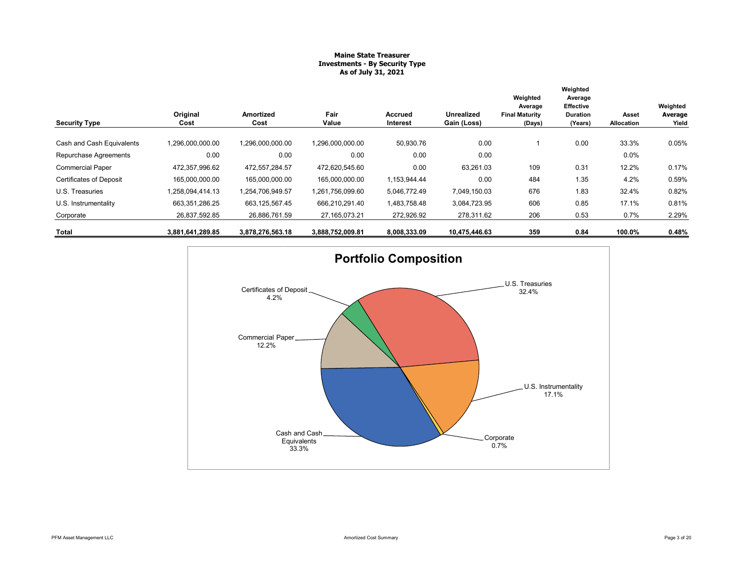## **Maine State Treasurer Investments - By Security Type As of July 31, 2021**

|                                |                  |                   |                  |                            |                                  | Weighted<br>Average             | Weighted<br>Average<br>Effective |                     | Weighted         |
|--------------------------------|------------------|-------------------|------------------|----------------------------|----------------------------------|---------------------------------|----------------------------------|---------------------|------------------|
| <b>Security Type</b>           | Original<br>Cost | Amortized<br>Cost | Fair<br>Value    | <b>Accrued</b><br>Interest | <b>Unrealized</b><br>Gain (Loss) | <b>Final Maturity</b><br>(Days) | <b>Duration</b><br>(Years)       | Asset<br>Allocation | Average<br>Yield |
|                                |                  |                   |                  |                            |                                  |                                 |                                  |                     |                  |
| Cash and Cash Equivalents      | 1,296,000,000.00 | 1,296,000,000.00  | 1,296,000,000.00 | 50,930.76                  | 0.00                             |                                 | 0.00                             | 33.3%               | 0.05%            |
| Repurchase Agreements          | 0.00             | 0.00              | 0.00             | 0.00                       | 0.00                             |                                 |                                  | 0.0%                |                  |
| <b>Commercial Paper</b>        | 472.357.996.62   | 472.557.284.57    | 472.620.545.60   | 0.00                       | 63,261.03                        | 109                             | 0.31                             | 12.2%               | 0.17%            |
| <b>Certificates of Deposit</b> | 165,000,000.00   | 165,000,000.00    | 165,000,000.00   | 1,153,944.44               | 0.00                             | 484                             | 1.35                             | 4.2%                | 0.59%            |
| U.S. Treasuries                | 1,258,094,414.13 | 1,254,706,949.57  | 1,261,756,099.60 | 5,046,772.49               | 7,049,150.03                     | 676                             | 1.83                             | 32.4%               | 0.82%            |
| U.S. Instrumentality           | 663,351,286.25   | 663, 125, 567. 45 | 666,210,291.40   | 1,483,758.48               | 3,084,723.95                     | 606                             | 0.85                             | 17.1%               | 0.81%            |
| Corporate                      | 26,837,592.85    | 26,886,761.59     | 27, 165, 073. 21 | 272,926.92                 | 278,311.62                       | 206                             | 0.53                             | 0.7%                | 2.29%            |
| Total                          | 3,881,641,289.85 | 3,878,276,563.18  | 3,888,752,009.81 | 8,008,333.09               | 10,475,446.63                    | 359                             | 0.84                             | 100.0%              | 0.48%            |

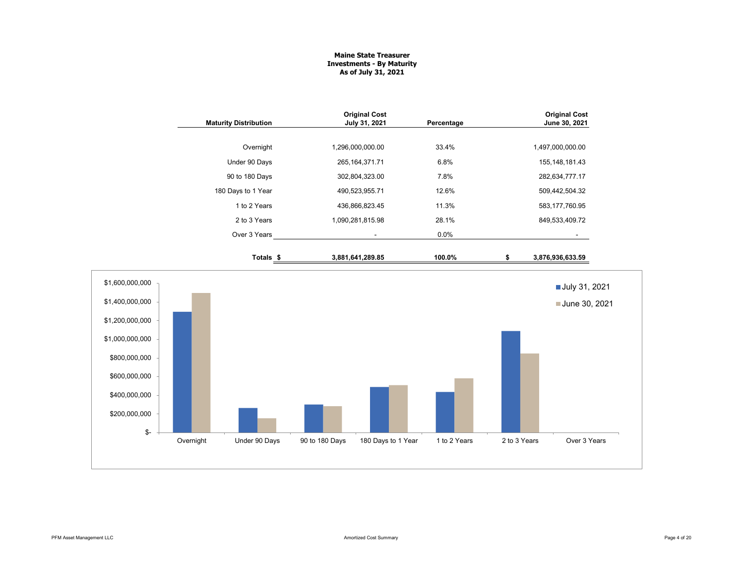## **Maine State Treasurer Investments - By Maturity As of July 31, 2021**

|                                                                                                                                              |           | <b>Maturity Distribution</b> |                  | <b>Original Cost</b><br>July 31, 2021 | Percentage   | <b>Original Cost</b><br>June 30, 2021 |                                |  |
|----------------------------------------------------------------------------------------------------------------------------------------------|-----------|------------------------------|------------------|---------------------------------------|--------------|---------------------------------------|--------------------------------|--|
|                                                                                                                                              |           | Overnight                    | 1,296,000,000.00 |                                       | 33.4%        |                                       | 1,497,000,000.00               |  |
|                                                                                                                                              |           | Under 90 Days                |                  | 265, 164, 371. 71                     | 6.8%         |                                       | 155, 148, 181. 43              |  |
|                                                                                                                                              |           | 90 to 180 Days               |                  | 302,804,323.00                        | 7.8%         |                                       | 282,634,777.17                 |  |
|                                                                                                                                              |           | 180 Days to 1 Year           |                  | 490,523,955.71                        | 12.6%        |                                       | 509,442,504.32                 |  |
|                                                                                                                                              |           | 1 to 2 Years                 |                  | 436,866,823.45                        | 11.3%        |                                       | 583, 177, 760.95               |  |
|                                                                                                                                              |           | 2 to 3 Years                 | 1,090,281,815.98 |                                       | 28.1%        |                                       | 849,533,409.72                 |  |
|                                                                                                                                              |           | Over 3 Years                 |                  |                                       | 0.0%         |                                       |                                |  |
|                                                                                                                                              |           | Totals <sub>\$</sub>         | 3,881,641,289.85 |                                       | 100.0%       | \$                                    | 3,876,936,633.59               |  |
| \$1,600,000,000<br>\$1,400,000,000<br>\$1,200,000,000<br>\$1,000,000,000<br>\$800,000,000<br>\$600,000,000<br>\$400,000,000<br>\$200,000,000 |           |                              |                  |                                       |              |                                       | July 31, 2021<br>June 30, 2021 |  |
| $\mathbb{S}^-$                                                                                                                               | Overnight | Under 90 Days                | 90 to 180 Days   | 180 Days to 1 Year                    | 1 to 2 Years | 2 to 3 Years                          | Over 3 Years                   |  |
|                                                                                                                                              |           |                              |                  |                                       |              |                                       |                                |  |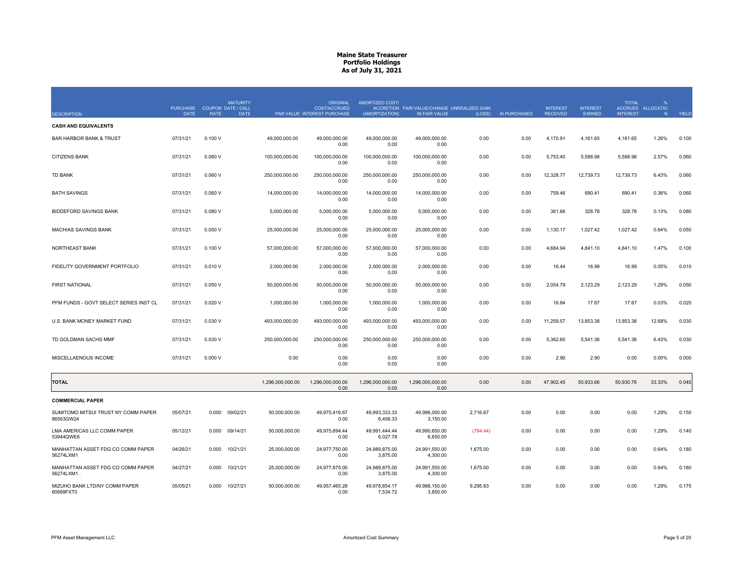| <b>DESCRIPTION</b>                               | <b>PURCHASE</b><br><b>DATE</b> | <b>COUPON DATE / CALL</b><br><b>RATE</b> | <b>MATURITY</b><br><b>DATE</b> | <b>ORIGINAL</b><br><b>COST/ACCRUED</b><br>PAR VALUE INTEREST PURCHASE | AMORTIZED COST/<br>(AMORTIZATION) | ACCRETION FAIR VALUE/CHANGE UNREALIZED GAIN<br>IN FAIR VALUE | (LOSS)   | AI PURCHASED | <b>INTEREST</b><br><b>RECEIVED</b> | <b>INTEREST</b><br><b>EARNED</b> | <b>TOTAL</b><br><b>INTEREST</b> | %<br>ACCRUED ALLOCATIO<br><b>N</b> | YIELD |
|--------------------------------------------------|--------------------------------|------------------------------------------|--------------------------------|-----------------------------------------------------------------------|-----------------------------------|--------------------------------------------------------------|----------|--------------|------------------------------------|----------------------------------|---------------------------------|------------------------------------|-------|
| <b>CASH AND EQUIVALENTS</b>                      |                                |                                          |                                |                                                                       |                                   |                                                              |          |              |                                    |                                  |                                 |                                    |       |
| <b>BAR HARBOR BANK &amp; TRUST</b>               | 07/31/21                       | 0.100V                                   | 49.000.000.00                  | 49.000.000.00<br>0.00                                                 | 49.000.000.00<br>0.00             | 49.000.000.00<br>0.00                                        | 0.00     | 0.00         | 4,170.91                           | 4,161.65                         | 4.161.65                        | 1.26%                              | 0.100 |
| <b>CITIZENS BANK</b>                             | 07/31/21                       | 0.060V                                   | 100,000,000.00                 | 100,000,000.00<br>0.00                                                | 100,000,000.00<br>0.00            | 100,000,000.00<br>0.00                                       | 0.00     | 0.00         | 5,753.40                           | 5,588.98                         | 5,588.98                        | 2.57%                              | 0.060 |
| <b>TD BANK</b>                                   | 07/31/21                       | 0.060V                                   | 250,000,000.00                 | 250,000,000.00<br>0.00                                                | 250,000,000.00<br>0.00            | 250,000,000.00<br>0.00                                       | 0.00     | 0.00         | 12,328.77                          | 12,739.73                        | 12,739.73                       | 6.43%                              | 0.060 |
| <b>BATH SAVINGS</b>                              | 07/31/21                       | 0.060V                                   | 14,000,000.00                  | 14,000,000.00<br>0.00                                                 | 14,000,000.00<br>0.00             | 14,000,000.00<br>0.00                                        | 0.00     | 0.00         | 759.46                             | 690.41                           | 690.41                          | 0.36%                              | 0.060 |
| <b>BIDDEFORD SAVINGS BANK</b>                    | 07/31/21                       | 0.080V                                   | 5.000.000.00                   | 5.000.000.00<br>0.00                                                  | 5.000.000.00<br>0.00              | 5.000.000.00<br>0.00                                         | 0.00     | 0.00         | 361.66                             | 328.78                           | 328.78                          | 0.13%                              | 0.080 |
| MACHIAS SAVINGS BANK                             | 07/31/21                       | 0.050V                                   | 25,000,000.00                  | 25,000,000.00<br>0.00                                                 | 25,000,000.00<br>0.00             | 25,000,000.00<br>0.00                                        | 0.00     | 0.00         | 1,130.17                           | 1,027.42                         | 1,027.42                        | 0.64%                              | 0.050 |
| NORTHEAST BANK                                   | 07/31/21                       | 0.100V                                   | 57,000,000.00                  | 57,000,000.00<br>0.00                                                 | 57,000,000.00<br>0.00             | 57,000,000.00<br>0.00                                        | 0.00     | 0.00         | 4,684.94                           | 4,841.10                         | 4,841.10                        | 1.47%                              | 0.100 |
| FIDELITY GOVERNMENT PORTFOLIO                    | 07/31/21                       | 0.010V                                   | 2,000,000.00                   | 2,000,000.00<br>0.00                                                  | 2,000,000.00<br>0.00              | 2,000,000.00<br>0.00                                         | 0.00     | 0.00         | 16.44                              | 16.99                            | 16.99                           | 0.05%                              | 0.010 |
| <b>FIRST NATIONAL</b>                            | 07/31/21                       | 0.050V                                   | 50,000,000.00                  | 50,000,000.00<br>0.00                                                 | 50,000,000.00<br>0.00             | 50,000,000.00<br>0.00                                        | 0.00     | 0.00         | 2,054.79                           | 2,123.29                         | 2,123.29                        | 1.29%                              | 0.050 |
| PFM FUNDS - GOVT SELECT SERIES INST CL           | 07/31/21                       | 0.020V                                   | 1,000,000.00                   | 1,000,000.00<br>0.00                                                  | 1,000,000.00<br>0.00              | 1,000,000.00<br>0.00                                         | 0.00     | 0.00         | 16.84                              | 17.67                            | 17.67                           | 0.03%                              | 0.020 |
| U.S. BANK MONEY MARKET FUND                      | 07/31/21                       | 0.030V                                   | 493.000.000.00                 | 493.000.000.00<br>0.00                                                | 493.000.000.00<br>0.00            | 493.000.000.00<br>0.00                                       | 0.00     | 0.00         | 11,259.57                          | 13.853.38                        | 13.853.38                       | 12.68%                             | 0.030 |
| TD GOLDMAN SACHS MMF                             | 07/31/21                       | 0.030 V                                  | 250,000,000.00                 | 250,000,000.00<br>0.00                                                | 250,000,000.00<br>0.00            | 250,000,000.00<br>0.00                                       | 0.00     | 0.00         | 5,362.60                           | 5,541.36                         | 5,541.36                        | 6.43%                              | 0.030 |
| MISCELLAENOUS INCOME                             | 07/31/21                       | 0.000V                                   | 0.00                           | 0.00<br>0.00                                                          | 0.00<br>0.00                      | 0.00<br>0.00                                                 | 0.00     | 0.00         | 2.90                               | 2.90                             | 0.00                            | 0.00%                              | 0.000 |
| <b>TOTAL</b>                                     |                                |                                          | 1,296,000,000.00               | 1,296,000,000.00<br>0.00                                              | 1,296,000,000.00<br>0.00          | 1,296,000,000.00<br>0.00                                     | 0.00     | 0.00         | 47,902.45                          | 50,933.66                        | 50,930.76                       | 33.33%                             | 0.045 |
| <b>COMMERCIAL PAPER</b>                          |                                |                                          |                                |                                                                       |                                   |                                                              |          |              |                                    |                                  |                                 |                                    |       |
| SUMITOMO MITSUI TRUST NY COMM PAPER<br>86563GW24 | 05/07/21                       | 0.000                                    | 09/02/21<br>50,000,000.00      | 49,975,416.67<br>0.00                                                 | 49,993,333.33<br>6,458.33         | 49,996,050.00<br>3,150.00                                    | 2,716.67 | 0.00         | 0.00                               | 0.00                             | 0.00                            | 1.29%                              | 0.150 |
| LMA AMERICAS LLC COMM PAPER<br>53944QWE6         | 05/12/21                       | 0.000                                    | 09/14/21<br>50,000,000.00      | 49,975,694.44<br>0.00                                                 | 49.991.444.44<br>6,027.78         | 49,990,650.00<br>6,650.00                                    | (794.44) | 0.00         | 0.00                               | 0.00                             | 0.00                            | 1.29%                              | 0.140 |
| MANHATTAN ASSET FDG CO COMM PAPER<br>56274LXM1   | 04/26/21                       | 0.000                                    | 10/21/21<br>25,000,000.00      | 24,977,750.00<br>0.00                                                 | 24,989,875.00<br>3,875.00         | 24,991,550.00<br>4,300.00                                    | 1,675.00 | 0.00         | 0.00                               | 0.00                             | 0.00                            | 0.64%                              | 0.180 |
| MANHATTAN ASSET FDG CO COMM PAPER<br>56274LXM1   | 04/27/21                       | 0.000                                    | 10/21/21<br>25,000,000.00      | 24.977.875.00<br>0.00                                                 | 24,989,875.00<br>3,875.00         | 24.991.550.00<br>4,300.00                                    | 1,675.00 | 0.00         | 0.00                               | 0.00                             | 0.00                            | 0.64%                              | 0.180 |
| MIZUHO BANK LTD/NY COMM PAPER<br>60689FXT0       | 05/05/21                       | 0.000                                    | 10/27/21<br>50,000,000.00      | 49,957,465.28<br>0.00                                                 | 49.978.854.17<br>7,534.72         | 49.988.150.00<br>3.850.00                                    | 9,295.83 | 0.00         | 0.00                               | 0.00                             | 0.00                            | 1.29%                              | 0.175 |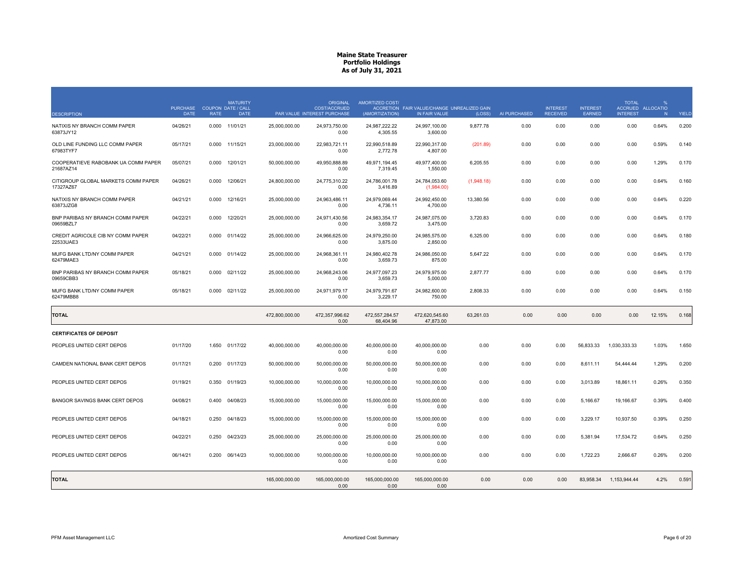| <b>DESCRIPTION</b>                               | <b>PURCHASE</b><br><b>DATE</b> | <b>RATE</b> | <b>MATURITY</b><br>COUPON DATE / CALL<br><b>DATE</b> |                | <b>ORIGINAL</b><br>COST/ACCRUED<br>PAR VALUE INTEREST PURCHASE | AMORTIZED COST/<br>(AMORTIZATION) | ACCRETION FAIR VALUE/CHANGE UNREALIZED GAIN<br>IN FAIR VALUE | (LOSS)     | AI PURCHASED | <b>INTEREST</b><br><b>RECEIVED</b> | <b>INTEREST</b><br>EARNED | <b>TOTAL</b><br><b>INTEREST</b> | $\frac{Q}{2}$<br>ACCRUED ALLOCATIO<br>N | YIELD |
|--------------------------------------------------|--------------------------------|-------------|------------------------------------------------------|----------------|----------------------------------------------------------------|-----------------------------------|--------------------------------------------------------------|------------|--------------|------------------------------------|---------------------------|---------------------------------|-----------------------------------------|-------|
| NATIXIS NY BRANCH COMM PAPER<br>63873JY12        | 04/26/21                       | 0.000       | 11/01/21                                             | 25,000,000.00  | 24,973,750.00<br>0.00                                          | 24,987,222.22<br>4,305.55         | 24,997,100.00<br>3,600.00                                    | 9,877.78   | 0.00         | 0.00                               | 0.00                      | 0.00                            | 0.64%                                   | 0.200 |
| OLD LINE FUNDING LLC COMM PAPER<br>67983TYF7     | 05/17/21                       | 0.000       | 11/15/21                                             | 23,000,000.00  | 22,983,721.11<br>0.00                                          | 22.990.518.89<br>2,772.78         | 22.990.317.00<br>4,807.00                                    | (201.89)   | 0.00         | 0.00                               | 0.00                      | 0.00                            | 0.59%                                   | 0.140 |
| COOPERATIEVE RABOBANK UA COMM PAPER<br>21687AZ14 | 05/07/21                       | 0.000       | 12/01/21                                             | 50,000,000.00  | 49,950,888.89<br>0.00                                          | 49,971,194.45<br>7,319.45         | 49,977,400.00<br>1,550.00                                    | 6,205.55   | 0.00         | 0.00                               | 0.00                      | 0.00                            | 1.29%                                   | 0.170 |
| CITIGROUP GLOBAL MARKETS COMM PAPER<br>17327AZ67 | 04/26/21                       | 0.000       | 12/06/21                                             | 24,800,000.00  | 24,775,310.22<br>0.00                                          | 24,786,001.78<br>3,416.89         | 24,784,053.60<br>(1,984.00)                                  | (1,948.18) | 0.00         | 0.00                               | 0.00                      | 0.00                            | 0.64%                                   | 0.160 |
| NATIXIS NY BRANCH COMM PAPER<br>63873JZG8        | 04/21/21                       | 0.000       | 12/16/21                                             | 25.000.000.00  | 24.963.486.11<br>0.00                                          | 24.979.069.44<br>4,736.11         | 24.992.450.00<br>4,700.00                                    | 13.380.56  | 0.00         | 0.00                               | 0.00                      | 0.00                            | 0.64%                                   | 0.220 |
| BNP PARIBAS NY BRANCH COMM PAPER<br>09659BZL7    | 04/22/21                       | 0.000       | 12/20/21                                             | 25,000,000.00  | 24,971,430.56<br>0.00                                          | 24,983,354.17<br>3,659.72         | 24,987,075.00<br>3,475.00                                    | 3,720.83   | 0.00         | 0.00                               | 0.00                      | 0.00                            | 0.64%                                   | 0.170 |
| CREDIT AGRICOLE CIB NY COMM PAPER<br>22533UAE3   | 04/22/21                       | 0.000       | 01/14/22                                             | 25,000,000.00  | 24.966.625.00<br>0.00                                          | 24.979.250.00<br>3,875.00         | 24.985.575.00<br>2,850.00                                    | 6,325.00   | 0.00         | 0.00                               | 0.00                      | 0.00                            | 0.64%                                   | 0.180 |
| MUFG BANK LTD/NY COMM PAPER<br>62479MAE3         | 04/21/21                       | 0.000       | 01/14/22                                             | 25,000,000.00  | 24,968,361.11<br>0.00                                          | 24,980,402.78<br>3,659.73         | 24,986,050.00<br>875.00                                      | 5,647.22   | 0.00         | 0.00                               | 0.00                      | 0.00                            | 0.64%                                   | 0.170 |
| BNP PARIBAS NY BRANCH COMM PAPER<br>09659CBB3    | 05/18/21                       | 0.000       | 02/11/22                                             | 25,000,000.00  | 24,968,243.06<br>0.00                                          | 24,977,097.23<br>3,659.73         | 24,979,975.00<br>5,000.00                                    | 2,877.77   | 0.00         | 0.00                               | 0.00                      | 0.00                            | 0.64%                                   | 0.170 |
| MUFG BANK LTD/NY COMM PAPER<br>62479MBB8         | 05/18/21                       | 0.000       | 02/11/22                                             | 25,000,000.00  | 24.971.979.17<br>0.00                                          | 24,979,791.67<br>3,229.17         | 24,982,600.00<br>750.00                                      | 2,808.33   | 0.00         | 0.00                               | 0.00                      | 0.00                            | 0.64%                                   | 0.150 |
| <b>TOTAL</b>                                     |                                |             |                                                      | 472.800.000.00 | 472.357.996.62<br>0.00                                         | 472.557.284.57<br>68,404.96       | 472.620.545.60<br>47,873.00                                  | 63.261.03  | 0.00         | 0.00                               | 0.00                      | 0.00                            | 12.15%                                  | 0.168 |
| <b>CERTIFICATES OF DEPOSIT</b>                   |                                |             |                                                      |                |                                                                |                                   |                                                              |            |              |                                    |                           |                                 |                                         |       |
| PEOPLES UNITED CERT DEPOS                        | 01/17/20                       | 1.650       | 01/17/22                                             | 40,000,000.00  | 40.000.000.00<br>0.00                                          | 40.000.000.00<br>0.00             | 40.000.000.00<br>0.00                                        | 0.00       | 0.00         | 0.00                               | 56.833.33                 | 1,030,333.33                    | 1.03%                                   | 1.650 |
| CAMDEN NATIONAL BANK CERT DEPOS                  | 01/17/21                       |             | 0.200 01/17/23                                       | 50,000,000.00  | 50,000,000.00<br>0.00                                          | 50,000,000.00<br>0.00             | 50,000,000.00<br>0.00                                        | 0.00       | 0.00         | 0.00                               | 8,611.11                  | 54,444.44                       | 1.29%                                   | 0.200 |
| PEOPLES UNITED CERT DEPOS                        | 01/19/21                       | 0.350       | 01/19/23                                             | 10.000.000.00  | 10.000.000.00<br>0.00                                          | 10.000.000.00<br>0.00             | 10.000.000.00<br>0.00                                        | 0.00       | 0.00         | 0.00                               | 3.013.89                  | 18.861.11                       | 0.26%                                   | 0.350 |
| BANGOR SAVINGS BANK CERT DEPOS                   | 04/08/21                       | 0.400       | 04/08/23                                             | 15,000,000.00  | 15,000,000.00<br>0.00                                          | 15,000,000.00<br>0.00             | 15,000,000.00<br>0.00                                        | 0.00       | 0.00         | 0.00                               | 5,166.67                  | 19,166.67                       | 0.39%                                   | 0.400 |
| PEOPLES UNITED CERT DEPOS                        | 04/18/21                       | 0.250       | 04/18/23                                             | 15,000,000.00  | 15,000,000,00<br>0.00                                          | 15.000.000.00<br>0.00             | 15,000,000.00<br>0.00                                        | 0.00       | 0.00         | 0.00                               | 3,229.17                  | 10,937.50                       | 0.39%                                   | 0.250 |
| PEOPLES UNITED CERT DEPOS                        | 04/22/21                       | 0.250       | 04/23/23                                             | 25,000,000.00  | 25,000,000.00<br>0.00                                          | 25,000,000.00<br>0.00             | 25,000,000.00<br>0.00                                        | 0.00       | 0.00         | 0.00                               | 5,381.94                  | 17,534.72                       | 0.64%                                   | 0.250 |
| PEOPLES UNITED CERT DEPOS                        | 06/14/21                       |             | 0.200 06/14/23                                       | 10,000,000.00  | 10,000,000.00<br>0.00                                          | 10,000,000.00<br>0.00             | 10,000,000.00<br>0.00                                        | 0.00       | 0.00         | 0.00                               | 1,722.23                  | 2,666.67                        | 0.26%                                   | 0.200 |
| <b>TOTAL</b>                                     |                                |             |                                                      | 165,000,000.00 | 165,000,000.00<br>0.00                                         | 165,000,000.00<br>0.00            | 165,000,000.00<br>0.00                                       | 0.00       | 0.00         | 0.00                               | 83,958.34                 | 1,153,944.44                    | 4.2%                                    | 0.591 |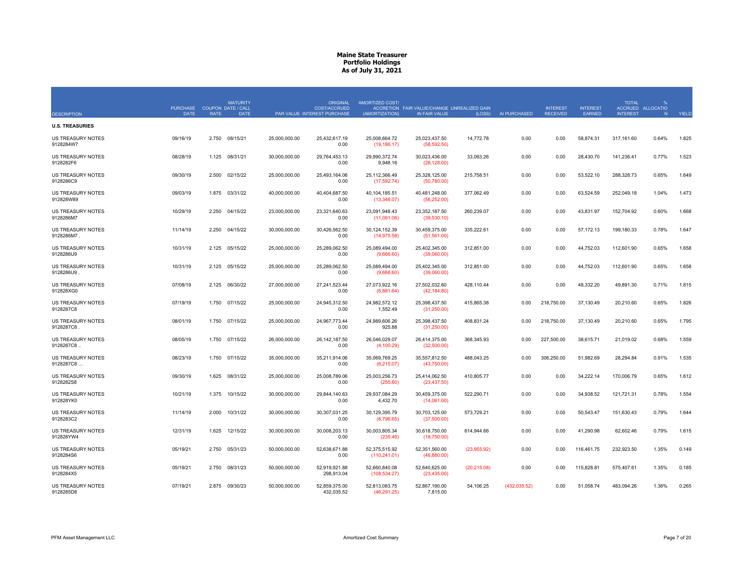|                                        | <b>PURCHASE</b> |             | <b>MATURITY</b><br><b>COUPON DATE / CALL</b> |               | <b>ORIGINAL</b><br><b>COST/ACCRUED</b> | AMORTIZED COST/                | ACCRETION FAIR VALUE/CHANGE UNREALIZED GAIN |              |              | <b>INTEREST</b> | <b>INTEREST</b> | <b>TOTAL</b>    | $\frac{9}{6}$<br>ACCRUED ALLOCATIO |       |
|----------------------------------------|-----------------|-------------|----------------------------------------------|---------------|----------------------------------------|--------------------------------|---------------------------------------------|--------------|--------------|-----------------|-----------------|-----------------|------------------------------------|-------|
| <b>DESCRIPTION</b>                     | <b>DATE</b>     | <b>RATE</b> | <b>DATE</b>                                  |               | PAR VALUE INTEREST PURCHASE            | (AMORTIZATION)                 | IN FAIR VALUE                               | (LOSS)       | AI PURCHASED | <b>RECEIVED</b> | EARNED          | <b>INTEREST</b> | N                                  | YIELD |
| <b>U.S. TREASURIES</b>                 |                 |             |                                              |               |                                        |                                |                                             |              |              |                 |                 |                 |                                    |       |
| <b>US TREASURY NOTES</b><br>9128284W7  | 09/16/19        | 2.750       | 08/15/21                                     | 25,000,000.00 | 25,432,617.19<br>0.00                  | 25,008,664.72<br>(19, 186.17)  | 25,023,437.50<br>(58, 592.50)               | 14,772.78    | 0.00         | 0.00            | 58,874.31       | 317,161.60      | 0.64%                              | 1.825 |
| <b>US TREASURY NOTES</b><br>9128282F6  | 08/28/19        | 1.125       | 08/31/21                                     | 30,000,000.00 | 29,764,453.13<br>0.00                  | 29,990,372.74<br>9,948.16      | 30,023,436.00<br>(28, 128.00)               | 33,063.26    | 0.00         | 0.00            | 28,430.70       | 141,236.41      | 0.77%                              | 1.523 |
| <b>US TREASURY NOTES</b><br>9128286C9  | 09/30/19        | 2.500       | 02/15/22                                     | 25,000,000.00 | 25,493,164.06<br>0.00                  | 25,112,366.49<br>(17, 592.74)  | 25,328,125.00<br>(50,780.00)                | 215,758.51   | 0.00         | 0.00            | 53,522.10       | 288,328.73      | 0.65%                              | 1.649 |
| <b>US TREASURY NOTES</b><br>912828W89  | 09/03/19        | 1.875       | 03/31/22                                     | 40.000.000.00 | 40.404.687.50<br>0.00                  | 40.104.185.51<br>(13,346.07)   | 40.481.248.00<br>(56, 252.00)               | 377.062.49   | 0.00         | 0.00            | 63.524.59       | 252.049.18      | 1.04%                              | 1.473 |
| <b>US TREASURY NOTES</b><br>9128286M7  | 10/29/19        | 2.250       | 04/15/22                                     | 23,000,000.00 | 23,321,640.63<br>0.00                  | 23,091,948.43<br>(11,091.06)   | 23,352,187.50<br>(39,530.10)                | 260,239.07   | 0.00         | 0.00            | 43,831.97       | 152,704.92      | 0.60%                              | 1.668 |
| <b>US TREASURY NOTES</b><br>9128286M7. | 11/14/19        | 2.250       | 04/15/22                                     | 30.000.000.00 | 30.426.562.50<br>0.00                  | 30.124.152.39<br>(14, 975.58)  | 30.459.375.00<br>(51, 561.00)               | 335.222.61   | 0.00         | 0.00            | 57.172.13       | 199.180.33      | 0.78%                              | 1.647 |
| <b>US TREASURY NOTES</b><br>9128286U9  | 10/31/19        | 2.125       | 05/15/22                                     | 25,000,000.00 | 25,289,062.50<br>0.00                  | 25,089,494.00<br>(9,666.60)    | 25,402,345.00<br>(39,060.00)                | 312,851.00   | 0.00         | 0.00            | 44,752.03       | 112,601.90      | 0.65%                              | 1.658 |
| <b>US TREASURY NOTES</b><br>9128286U9  | 10/31/19        | 2.125       | 05/15/22                                     | 25.000.000.00 | 25.289.062.50<br>0.00                  | 25.089.494.00<br>(9,666.60)    | 25.402.345.00<br>(39,060.00)                | 312.851.00   | 0.00         | 0.00            | 44.752.03       | 112.601.90      | 0.65%                              | 1.658 |
| <b>US TREASURY NOTES</b><br>912828XG0  | 07/08/19        | 2.125       | 06/30/22                                     | 27,000,000.00 | 27,241,523.44<br>0.00                  | 27,073,922.16<br>(6,881.64)    | 27,502,032.60<br>(42, 184.80)               | 428,110.44   | 0.00         | 0.00            | 48,332.20       | 49,891.30       | 0.71%                              | 1.815 |
| US TREASURY NOTES<br>9128287C8         | 07/19/19        |             | 1.750 07/15/22                               | 25,000,000.00 | 24,945,312.50<br>0.00                  | 24,982,572.12<br>1,552.49      | 25,398,437.50<br>(31,250.00)                | 415,865.38   | 0.00         | 218,750.00      | 37,130.49       | 20,210.60       | 0.65%                              | 1.826 |
| <b>US TREASURY NOTES</b><br>9128287C8  | 08/01/19        | 1.750       | 07/15/22                                     | 25,000,000.00 | 24,967,773.44<br>0.00                  | 24,989,606.26<br>925.88        | 25,398,437.50<br>(31,250.00)                | 408,831.24   | 0.00         | 218,750.00      | 37,130.49       | 20,210.60       | 0.65%                              | 1.795 |
| <b>US TREASURY NOTES</b><br>9128287C8. | 08/05/19        | 1.750       | 07/15/22                                     | 26,000,000.00 | 26, 142, 187.50<br>0.00                | 26,046,029.07<br>(4, 100.29)   | 26,414,375.00<br>(32,500.00)                | 368,345.93   | 0.00         | 227,500.00      | 38,615.71       | 21,019.02       | 0.68%                              | 1.559 |
| <b>US TREASURY NOTES</b><br>9128287C8  | 08/23/19        |             | 1.750 07/15/22                               | 35,000,000.00 | 35,211,914.06<br>0.00                  | 35,069,769.25<br>(6,215.07)    | 35,557,812.50<br>(43,750.00)                | 488,043.25   | 0.00         | 306,250.00      | 51,982.69       | 28,294.84       | 0.91%                              | 1.535 |
| <b>US TREASURY NOTES</b><br>9128282S8  | 09/30/19        | 1.625       | 08/31/22                                     | 25,000,000.00 | 25,008,789.06<br>0.00                  | 25,003,256.73<br>(255.60)      | 25,414,062.50<br>(23, 437.50)               | 410,805.77   | 0.00         | 0.00            | 34,222.14       | 170,006.79      | 0.65%                              | 1.612 |
| <b>US TREASURY NOTES</b><br>912828YK0  | 10/21/19        | 1.375       | 10/15/22                                     | 30,000,000.00 | 29,844,140.63<br>0.00                  | 29,937,084.29<br>4,432.70      | 30,459,375.00<br>(14,061.00)                | 522,290.71   | 0.00         | 0.00            | 34,938.52       | 121,721.31      | 0.78%                              | 1.554 |
| <b>US TREASURY NOTES</b><br>9128283C2  | 11/14/19        | 2.000       | 10/31/22                                     | 30,000,000.00 | 30,307,031.25<br>0.00                  | 30,129,395.79<br>(8,796.65)    | 30,703,125.00<br>(37,500.00)                | 573,729.21   | 0.00         | 0.00            | 50,543.47       | 151,630.43      | 0.79%                              | 1.644 |
| <b>US TREASURY NOTES</b><br>912828YW4  | 12/31/19        | 1.625       | 12/15/22                                     | 30,000,000.00 | 30,008,203.13<br>0.00                  | 30,003,805.34<br>(235.46)      | 30,618,750.00<br>(18,750.00)                | 614,944.66   | 0.00         | 0.00            | 41,290.98       | 62,602.46       | 0.79%                              | 1.615 |
| <b>US TREASURY NOTES</b><br>9128284S6  | 05/19/21        | 2.750       | 05/31/23                                     | 50,000,000.00 | 52,638,671.88<br>0.00                  | 52,375,515.92<br>(110, 241.01) | 52,351,560.00<br>(46,880.00)                | (23,955.92)  | 0.00         | 0.00            | 116,461.75      | 232,923.50      | 1.35%                              | 0.149 |
| <b>US TREASURY NOTES</b><br>9128284X5  | 05/19/21        | 2.750       | 08/31/23                                     | 50.000.000.00 | 52.919.921.88<br>298,913.04            | 52.660.840.08<br>(108, 534.27) | 52.640.625.00<br>(23, 435.00)               | (20, 215.08) | 0.00         | 0.00            | 115,828.81      | 575.407.61      | 1.35%                              | 0.185 |
| <b>US TREASURY NOTES</b><br>9128285D8  | 07/19/21        |             | 2.875 09/30/23                               | 50,000,000.00 | 52.859.375.00<br>432.035.52            | 52.813.083.75<br>(46.291.25)   | 52.867.190.00<br>7.815.00                   | 54.106.25    | (432.035.52) | 0.00            | 51.058.74       | 483,094.26      | 1.36%                              | 0.265 |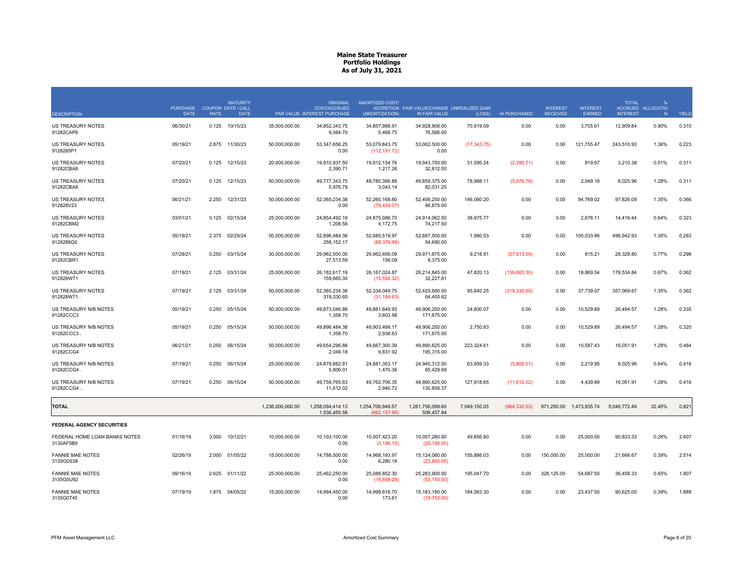|                                            | PURCHASE COUPON DATE / CALL |             | <b>MATURITY</b> |                  | <b>ORIGINAL</b><br>COST/ACCRUED  | AMORTIZED COST/                   | ACCRETION FAIR VALUE/CHANGE UNREALIZED GAIN |              |               | <b>INTEREST</b> | <b>INTEREST</b> | <b>TOTAL</b>    | O/2<br>ACCRUED ALLOCATIO |              |
|--------------------------------------------|-----------------------------|-------------|-----------------|------------------|----------------------------------|-----------------------------------|---------------------------------------------|--------------|---------------|-----------------|-----------------|-----------------|--------------------------|--------------|
| <b>DESCRIPTION</b>                         | <b>DATE</b>                 | <b>RATE</b> | <b>DATE</b>     |                  | PAR VALUE INTEREST PURCHASE      | (AMORTIZATION)                    | IN FAIR VALUE                               | (LOSS)       | AI PURCHASED  | <b>RECEIVED</b> | EARNED          | <b>INTEREST</b> | N                        | <b>YIELD</b> |
| <b>US TREASURY NOTES</b><br>91282CAP6      | 06/30/21                    | 0.125       | 10/15/23        | 35,000,000.00    | 34,852,343.75<br>9,084.70        | 34,857,988.91<br>5,468.75         | 34,928,908.00<br>76,566.00                  | 70,919.09    | 0.00          | 0.00            | 3,705.61        | 12,909.84       | 0.90%                    | 0.310        |
| <b>US TREASURY NOTES</b><br>9128285P1      | 05/19/21                    | 2.875       | 11/30/23        | 50,000,000.00    | 53,347,656.25<br>0.00            | 53,079,843.75<br>(112, 191.72)    | 53,062,500.00<br>0.00                       | (17, 343.75) | 0.00          | 0.00            | 121,755.47      | 243,510.93      | 1.36%                    | 0.223        |
| <b>US TREASURY NOTES</b><br>91282CBA8      | 07/20/21                    | 0.125       | 12/15/23        | 20,000,000.00    | 19,910,937.50<br>2,390.71        | 19,912,154.76<br>1,217.26         | 19,943,750.00<br>32,812.50                  | 31,595.24    | (2,390.71)    | 0.00            | 819.67          | 3,210.38        | 0.51%                    | 0.311        |
| <b>US TREASURY NOTES</b><br>91282CBA8      | 07/20/21                    | 0.125       | 12/15/23        | 50,000,000.00    | 49,777,343.75<br>5,976.78        | 49,780,386.89<br>3,043.14         | 49,859,375.00<br>82,031.25                  | 78,988.11    | (5,976.78)    | 0.00            | 2,049.18        | 8,025.96        | 1.28%                    | 0.311        |
| US TREASURY NOTES<br>912828V23             | 06/21/21                    | 2.250       | 12/31/23        | 50,000,000.00    | 52,365,234.38<br>0.00            | 52,260,169.80<br>(79, 439.07)     | 52,406,250.00<br>46,875.00                  | 146,080.20   | 0.00          | 0.00            | 94,769.02       | 97,826.09       | 1.35%                    | 0.366        |
| US TREASURY NOTES<br>91282CBM2             | 03/01/21                    | 0.125       | 02/15/24        | 25,000,000.00    | 24,854,492.19<br>1.208.56        | 24,875,086.73<br>4.172.75         | 24,914,062.50<br>74,217.50                  | 38,975.77    | 0.00          | 0.00            | 2,676.11        | 14,416.44       | 0.64%                    | 0.323        |
| <b>US TREASURY NOTES</b><br>9128286G0      | 05/19/21                    | 2.375       | 02/29/24        | 50,000,000.00    | 52,896,484.38<br>258,152.17      | 52,685,519.97<br>(88, 376.98)     | 52,687,500.00<br>54,690.00                  | 1,980.03     | 0.00          | 0.00            | 100,033.96      | 496,942.93      | 1.35%                    | 0.283        |
| <b>US TREASURY NOTES</b><br>91282CBR1      | 07/28/21                    | 0.250       | 03/15/24        | 30,000,000.00    | 29.962.500.00<br>27,513.59       | 29.962.656.09<br>156.09           | 29.971.875.00<br>9,375.00                   | 9.218.91     | (27, 513.59)  | 0.00            | 815.21          | 28,328.80       | 0.77%                    | 0.298        |
| <b>US TREASURY NOTES</b><br>912828W71      | 07/19/21                    | 2.125       | 03/31/24        | 25,000,000.00    | 26, 182, 617. 19<br>159,665.30   | 26, 167, 024.87<br>(15, 592.32)   | 26,214,845.00<br>32,227.81                  | 47,820.13    | (159, 665.30) | 0.00            | 18,869.54       | 178,534.84      | 0.67%                    | 0.362        |
| <b>US TREASURY NOTES</b><br>912828W71.     | 07/19/21                    | 2.125       | 03/31/24        | 50,000,000.00    | 52,365,234.38<br>319,330.60      | 52,334,049.75<br>(31, 184.63)     | 52,429,690.00<br>64,455.62                  | 95,640.25    | (319, 330.60) | 0.00            | 37,739.07       | 357,069.67      | 1.35%                    | 0.362        |
| US TREASURY N/B NOTES<br>91282CCC3         | 05/19/21                    | 0.250       | 05/15/24        | 50,000,000.00    | 49,873,046.88<br>1,358.70        | 49,881,649.93<br>3,603.98         | 49,906,250.00<br>171,875.00                 | 24,600.07    | 0.00          | 0.00            | 10,529.89       | 26,494.57       | 1.28%                    | 0.335        |
| US TREASURY N/B NOTES<br>91282CCC3         | 05/19/21                    | 0.250       | 05/15/24        | 50,000,000.00    | 49,896,484.38<br>1,358.70        | 49,903,499.17<br>2,938.63         | 49,906,250.00<br>171,875.00                 | 2,750.83     | 0.00          | 0.00            | 10,529.89       | 26,494.57       | 1.28%                    | 0.320        |
| US TREASURY N/B NOTES<br>91282CCG4         | 06/21/21                    | 0.250       | 06/15/24        | 50,000,000.00    | 49.654.296.88<br>2,049.18        | 49,667,300.39<br>9,831.92         | 49,890,625.00<br>195,315.00                 | 223,324.61   | 0.00          | 0.00            | 10,587.43       | 16,051.91       | 1.28%                    | 0.484        |
| US TREASURY N/B NOTES<br>91282CCG4         | 07/19/21                    | 0.250       | 06/15/24        | 25,000,000.00    | 24,879,882.81<br>5,806.01        | 24,881,353.17<br>1,470.36         | 24,945,312.50<br>65,429.69                  | 63,959.33    | (5,806.01)    | 0.00            | 2,219.95        | 8,025.96        | 0.64%                    | 0.416        |
| US TREASURY N/B NOTES<br>91282CCG4         | 07/19/21                    | 0.250       | 06/15/24        | 50,000,000.00    | 49,759,765.63<br>11,612.02       | 49,762,706.35<br>2,940.72         | 49,890,625.00<br>130.859.37                 | 127,918.65   | (11,612.02)   | 0.00            | 4,439.89        | 16,051.91       | 1.28%                    | 0.416        |
| <b>TOTAL</b>                               |                             |             |                 | 1,236,000,000.00 | 1,258,094,414.13<br>1,536,455.58 | 1,254,706,949.57<br>(662, 157.95) | 1,261,756,099.60<br>508,457.84              | 7,049,150.03 | (964, 330.53) | 971,250.00      | 1,473,935.74    | 5,046,772.49    | 32.45%                   | 0.821        |
| <b>FEDERAL AGENCY SECURITIES</b>           |                             |             |                 |                  |                                  |                                   |                                             |              |               |                 |                 |                 |                          |              |
| FEDERAL HOME LOAN BANKS NOTES<br>3130AF5B9 | 01/16/19                    | 3.000       | 10/12/21        | 10,000,000.00    | 10,103,100.00<br>0.00            | 10,007,423.20<br>(3, 196.10)      | 10,057,280.00<br>(25, 190.00)               | 49,856.80    | 0.00          | 0.00            | 25,000.00       | 90,833.33       | 0.26%                    | 2.607        |
| <b>FANNIE MAE NOTES</b><br>3135G0S38       | 02/26/19                    | 2.000       | 01/05/22        | 15,000,000.00    | 14,788,500.00<br>0.00            | 14,968,193.97<br>6,280.18         | 15,124,080.00<br>(23,865.00)                | 155,886.03   | 0.00          | 150,000.00      | 25,000.00       | 21,666.67       | 0.39%                    | 2.514        |
| <b>FANNIE MAE NOTES</b><br>3135G0U92       | 09/16/19                    | 2.625       | 01/11/22        | 25,000,000.00    | 25,462,250.00<br>0.00            | 25,088,852.30<br>(16,898.29)      | 25,283,900.00<br>(53, 150.00)               | 195,047.70   | 0.00          | 328,125.00      | 54,687.50       | 36,458.33       | 0.65%                    | 1.807        |
| <b>FANNIE MAE NOTES</b><br>3135G0T45       | 07/19/19                    |             | 1.875 04/05/22  | 15,000,000.00    | 14.994.450.00<br>0.00            | 14.998.616.70<br>173.61           | 15, 183, 180.00<br>(19,755.00)              | 184,563.30   | 0.00          | 0.00            | 23,437.50       | 90,625.00       | 0.39%                    | 1.889        |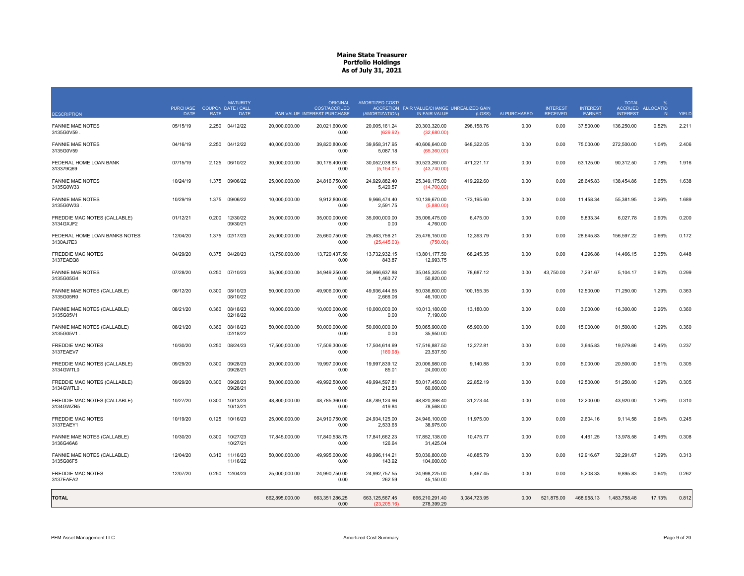| <b>DESCRIPTION</b>                         | <b>PURCHASE</b><br><b>DATE</b> | <b>RATE</b> | <b>MATURITY</b><br><b>COUPON DATE / CALL</b><br><b>DATE</b> |                | <b>ORIGINAL</b><br>COST/ACCRUED<br>PAR VALUE INTEREST PURCHASE | AMORTIZED COST/<br>(AMORTIZATION) | ACCRETION FAIR VALUE/CHANGE UNREALIZED GAIN<br>IN FAIR VALUE | (LOSS)       | AI PURCHASED | <b>INTEREST</b><br><b>RECEIVED</b> | <b>INTEREST</b><br><b>FARNED</b> | <b>TOTAL</b><br><b>INTEREST</b> | $\mathbf{0}$<br>ACCRUED ALLOCATIO<br>N | YIELD |
|--------------------------------------------|--------------------------------|-------------|-------------------------------------------------------------|----------------|----------------------------------------------------------------|-----------------------------------|--------------------------------------------------------------|--------------|--------------|------------------------------------|----------------------------------|---------------------------------|----------------------------------------|-------|
| <b>FANNIE MAE NOTES</b><br>3135G0V59       | 05/15/19                       | 2.250       | 04/12/22                                                    | 20.000.000.00  | 20,021,600.00<br>0.00                                          | 20.005.161.24<br>(629.92)         | 20.303.320.00<br>(32,680.00)                                 | 298.158.76   | 0.00         | 0.00                               | 37,500.00                        | 136,250.00                      | 0.52%                                  | 2.211 |
| <b>FANNIE MAE NOTES</b><br>3135G0V59       | 04/16/19                       | 2.250       | 04/12/22                                                    | 40.000.000.00  | 39.820.800.00<br>0.00                                          | 39.958.317.95<br>5,087.18         | 40.606.640.00<br>(65,360.00)                                 | 648,322.05   | 0.00         | 0.00                               | 75,000.00                        | 272,500.00                      | 1.04%                                  | 2.406 |
| FEDERAL HOME LOAN BANK<br>313379Q69        | 07/15/19                       |             | 2.125 06/10/22                                              | 30,000,000.00  | 30,176,400.00<br>0.00                                          | 30,052,038.83<br>(5, 154.01)      | 30,523,260.00<br>(43,740.00)                                 | 471,221.17   | 0.00         | 0.00                               | 53,125.00                        | 90,312.50                       | 0.78%                                  | 1.916 |
| <b>FANNIE MAE NOTES</b><br>3135G0W33       | 10/24/19                       | 1.375       | 09/06/22                                                    | 25,000,000.00  | 24,816,750.00<br>0.00                                          | 24,929,882.40<br>5,420.57         | 25,349,175.00<br>(14,700.00)                                 | 419,292.60   | 0.00         | 0.00                               | 28,645.83                        | 138,454.86                      | 0.65%                                  | 1.638 |
| <b>FANNIE MAE NOTES</b><br>3135G0W33       | 10/29/19                       | 1.375       | 09/06/22                                                    | 10,000,000.00  | 9.912.800.00<br>0.00                                           | 9,966,474.40<br>2,591.75          | 10,139,670.00<br>(5,880.00)                                  | 173,195.60   | 0.00         | 0.00                               | 11,458.34                        | 55,381.95                       | 0.26%                                  | 1.689 |
| FREDDIE MAC NOTES (CALLABLE)<br>3134GXJF2  | 01/12/21                       | 0.200       | 12/30/22<br>09/30/21                                        | 35,000,000.00  | 35,000,000.00<br>0.00                                          | 35,000,000.00<br>0.00             | 35,006,475.00<br>4,760.00                                    | 6,475.00     | 0.00         | 0.00                               | 5,833.34                         | 6,027.78                        | 0.90%                                  | 0.200 |
| FEDERAL HOME LOAN BANKS NOTES<br>3130AJ7E3 | 12/04/20                       | 1.375       | 02/17/23                                                    | 25.000.000.00  | 25.660.750.00<br>0.00                                          | 25.463.756.21<br>(25, 445.03)     | 25.476.150.00<br>(750.00)                                    | 12.393.79    | 0.00         | 0.00                               | 28.645.83                        | 156.597.22                      | 0.66%                                  | 0.172 |
| <b>FREDDIE MAC NOTES</b><br>3137EAEQ8      | 04/29/20                       | 0.375       | 04/20/23                                                    | 13.750.000.00  | 13.720.437.50<br>0.00                                          | 13.732.932.15<br>843.87           | 13.801.177.50<br>12,993.75                                   | 68.245.35    | 0.00         | 0.00                               | 4.296.88                         | 14.466.15                       | 0.35%                                  | 0.448 |
| <b>FANNIE MAE NOTES</b><br>3135G05G4       | 07/28/20                       | 0.250       | 07/10/23                                                    | 35.000.000.00  | 34.949.250.00<br>0.00                                          | 34.966.637.88<br>1,460.77         | 35.045.325.00<br>50,820.00                                   | 78.687.12    | 0.00         | 43.750.00                          | 7.291.67                         | 5.104.17                        | 0.90%                                  | 0.299 |
| FANNIE MAE NOTES (CALLABLE)<br>3135G05R0   | 08/12/20                       | 0.300       | 08/10/23<br>08/10/22                                        | 50.000.000.00  | 49.906.000.00<br>0.00                                          | 49.936.444.65<br>2,666.06         | 50.036.600.00<br>46,100.00                                   | 100.155.35   | 0.00         | 0.00                               | 12.500.00                        | 71.250.00                       | 1.29%                                  | 0.363 |
| FANNIE MAE NOTES (CALLABLE)<br>3135G05V1   | 08/21/20                       | 0.360       | 08/18/23<br>02/18/22                                        | 10,000,000.00  | 10.000.000.00<br>0.00                                          | 10.000.000.00<br>0.00             | 10.013.180.00<br>7,190.00                                    | 13,180.00    | 0.00         | 0.00                               | 3,000.00                         | 16,300.00                       | 0.26%                                  | 0.360 |
| FANNIE MAE NOTES (CALLABLE)<br>3135G05V1   | 08/21/20                       | 0.360       | 08/18/23<br>02/18/22                                        | 50,000,000.00  | 50,000,000.00<br>0.00                                          | 50,000,000.00<br>0.00             | 50,065,900.00<br>35,950.00                                   | 65,900.00    | 0.00         | 0.00                               | 15,000.00                        | 81,500.00                       | 1.29%                                  | 0.360 |
| <b>FREDDIE MAC NOTES</b><br>3137EAEV7      | 10/30/20                       | 0.250       | 08/24/23                                                    | 17,500,000.00  | 17,506,300.00<br>0.00                                          | 17,504,614.69<br>(189.98)         | 17,516,887.50<br>23,537.50                                   | 12,272.81    | 0.00         | 0.00                               | 3,645.83                         | 19,079.86                       | 0.45%                                  | 0.237 |
| FREDDIE MAC NOTES (CALLABLE)<br>3134GWTL0  | 09/29/20                       | 0.300       | 09/28/23<br>09/28/21                                        | 20,000,000.00  | 19,997,000.00<br>0.00                                          | 19,997,839.12<br>85.01            | 20,006,980.00<br>24,000.00                                   | 9,140.88     | 0.00         | 0.00                               | 5,000.00                         | 20,500.00                       | 0.51%                                  | 0.305 |
| FREDDIE MAC NOTES (CALLABLE)<br>3134GWTL0  | 09/29/20                       | 0.300       | 09/28/23<br>09/28/21                                        | 50.000.000.00  | 49.992.500.00<br>0.00                                          | 49.994.597.81<br>212.53           | 50.017.450.00<br>60,000.00                                   | 22,852.19    | 0.00         | 0.00                               | 12,500.00                        | 51,250.00                       | 1.29%                                  | 0.305 |
| FREDDIE MAC NOTES (CALLABLE)<br>3134GWZB5  | 10/27/20                       | 0.300       | 10/13/23<br>10/13/21                                        | 48.800.000.00  | 48.785.360.00<br>0.00                                          | 48.789.124.96<br>419.84           | 48.820.398.40<br>78,568.00                                   | 31,273.44    | 0.00         | 0.00                               | 12.200.00                        | 43.920.00                       | 1.26%                                  | 0.310 |
| <b>FREDDIE MAC NOTES</b><br>3137EAEY1      | 10/19/20                       | 0.125       | 10/16/23                                                    | 25,000,000.00  | 24.910.750.00<br>0.00                                          | 24,934,125.00<br>2,533.65         | 24.946.100.00<br>38,975.00                                   | 11,975.00    | 0.00         | 0.00                               | 2,604.16                         | 9.114.58                        | 0.64%                                  | 0.245 |
| FANNIE MAE NOTES (CALLABLE)<br>3136G46A6   | 10/30/20                       | 0.300       | 10/27/23<br>10/27/21                                        | 17,845,000.00  | 17,840,538.75<br>0.00                                          | 17,841,662.23<br>126.64           | 17,852,138.00<br>31,425.04                                   | 10,475.77    | 0.00         | 0.00                               | 4,461.25                         | 13,978.58                       | 0.46%                                  | 0.308 |
| FANNIE MAE NOTES (CALLABLE)<br>3135G06F5   | 12/04/20                       | 0.310       | 11/16/23<br>11/16/22                                        | 50,000,000.00  | 49,995,000.00<br>0.00                                          | 49,996,114.21<br>143.92           | 50,036,800.00<br>104,000.00                                  | 40,685.79    | 0.00         | 0.00                               | 12,916.67                        | 32,291.67                       | 1.29%                                  | 0.313 |
| <b>FREDDIE MAC NOTES</b><br>3137EAFA2      | 12/07/20                       | 0.250       | 12/04/23                                                    | 25,000,000.00  | 24,990,750.00<br>0.00                                          | 24,992,757.55<br>262.59           | 24,998,225.00<br>45,150.00                                   | 5,467.45     | 0.00         | 0.00                               | 5,208.33                         | 9,895.83                        | 0.64%                                  | 0.262 |
| TOTAL                                      |                                |             |                                                             | 662,895,000.00 | 663,351,286.25<br>0.00                                         | 663, 125, 567.45<br>(23, 205.16)  | 666,210,291.40<br>278,399.29                                 | 3,084,723.95 | 0.00         | 521,875.00                         | 468,958.13                       | 1,483,758.48                    | 17.13%                                 | 0.812 |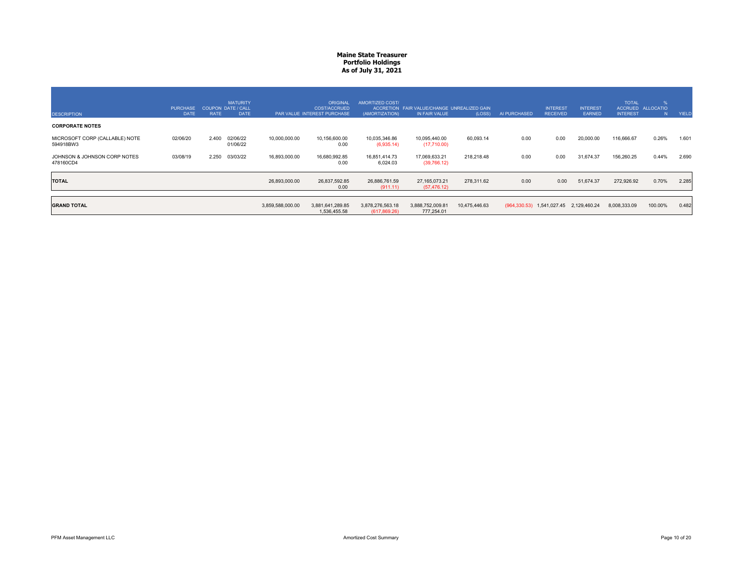| <b>DESCRIPTION</b>                          | <b>PURCHASE</b><br><b>DATE</b> | <b>RATE</b> | <b>MATURITY</b><br>COUPON DATE / CALL<br><b>DATE</b> |                  | <b>ORIGINAL</b><br><b>COST/ACCRUED</b><br>PAR VALUE INTEREST PURCHASE | AMORTIZED COST/<br>(AMORTIZATION) | ACCRETION FAIR VALUE/CHANGE UNREALIZED GAIN<br>IN FAIR VALUE | (LOSS)        | AI PURCHASED | <b>INTEREST</b><br><b>RECEIVED</b>             | <b>INTEREST</b><br><b>EARNED</b> | <b>TOTAL</b><br><b>ACCRUED</b><br><b>INTEREST</b> | %<br><b>ALLOCATIO</b><br>N <sub>1</sub> | YIELD |
|---------------------------------------------|--------------------------------|-------------|------------------------------------------------------|------------------|-----------------------------------------------------------------------|-----------------------------------|--------------------------------------------------------------|---------------|--------------|------------------------------------------------|----------------------------------|---------------------------------------------------|-----------------------------------------|-------|
| <b>CORPORATE NOTES</b>                      |                                |             |                                                      |                  |                                                                       |                                   |                                                              |               |              |                                                |                                  |                                                   |                                         |       |
| MICROSOFT CORP (CALLABLE) NOTE<br>594918BW3 | 02/06/20                       | 2.400       | 02/06/22<br>01/06/22                                 | 10,000,000.00    | 10,156,600.00<br>0.00                                                 | 10,035,346.86<br>(6,935.14)       | 10.095.440.00<br>(17,710.00)                                 | 60,093.14     | 0.00         | 0.00                                           | 20,000.00                        | 116,666.67                                        | 0.26%                                   | 1.601 |
| JOHNSON & JOHNSON CORP NOTES<br>478160CD4   | 03/08/19                       | 2.250       | 03/03/22                                             | 16,893,000.00    | 16,680,992.85<br>0.00                                                 | 16,851,414.73<br>6,024.03         | 17,069,633.21<br>(39,766.12)                                 | 218,218.48    | 0.00         | 0.00                                           | 31,674.37                        | 156,260.25                                        | 0.44%                                   | 2.690 |
| <b>TOTAL</b>                                |                                |             |                                                      | 26,893,000.00    | 26,837,592.85<br>0.00                                                 | 26,886,761.59<br>(911.11)         | 27, 165, 073. 21<br>(57, 476.12)                             | 278,311.62    | 0.00         | 0.00                                           | 51,674.37                        | 272,926.92                                        | 0.70%                                   | 2.285 |
| <b>GRAND TOTAL</b>                          |                                |             |                                                      | 3,859,588,000.00 | 3,881,641,289.85<br>1,536,455.58                                      | 3,878,276,563.18<br>(617, 869.26) | 3,888,752,009.81<br>777,254.01                               | 10,475,446.63 |              | (964, 330. 53) 1, 541, 027. 45 2, 129, 460. 24 |                                  | 8,008,333.09                                      | 100.00%                                 | 0.482 |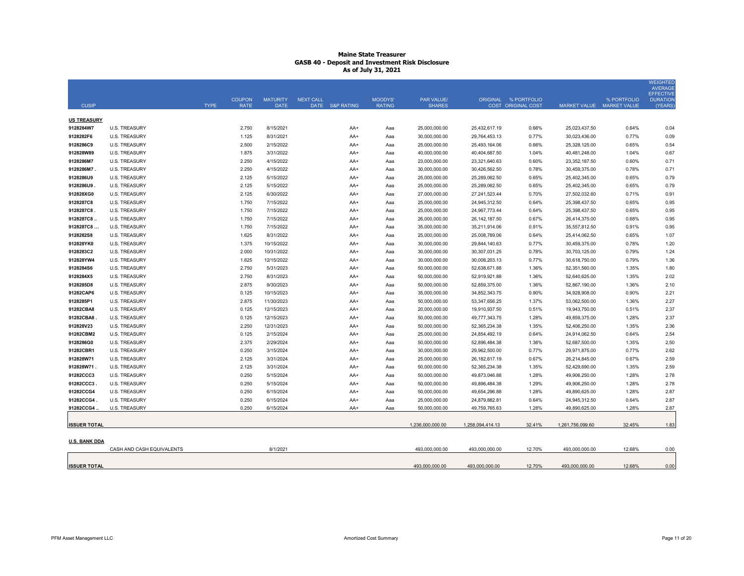|                        |                                              |             |                |                        |                  |                 |                |                                |                                |                           |                                |                           | <b>WEIGHTED</b><br><b>AVERAGE</b>   |
|------------------------|----------------------------------------------|-------------|----------------|------------------------|------------------|-----------------|----------------|--------------------------------|--------------------------------|---------------------------|--------------------------------|---------------------------|-------------------------------------|
|                        |                                              |             | <b>COUPON</b>  | <b>MATURITY</b>        | <b>NEXT CALL</b> |                 | <b>MOODYS'</b> | <b>PAR VALUE/</b>              |                                | ORIGINAL % PORTFOLIO      |                                | % PORTFOLIO               | <b>EFFECTIVE</b><br><b>DURATION</b> |
| <b>CUSIP</b>           |                                              | <b>TYPE</b> | <b>RATE</b>    | <b>DATE</b>            |                  | DATE S&P RATING | <b>RATING</b>  | <b>SHARES</b>                  |                                | <b>COST ORIGINAL COST</b> |                                | MARKET VALUE MARKET VALUE | (YEARS)                             |
| <b>US TREASURY</b>     |                                              |             |                |                        |                  |                 |                |                                |                                |                           |                                |                           |                                     |
| 9128284W7              | <b>U.S. TREASURY</b>                         |             | 2.750          | 8/15/2021              |                  | AA+             | Aaa            | 25,000,000.00                  | 25,432,617.19                  | 0.66%                     | 25,023,437.50                  | 0.64%                     | 0.04                                |
| 9128282F6              | <b>U.S. TREASURY</b>                         |             | 1.125          | 8/31/2021              |                  | AA+             | Ааа            | 30,000,000.00                  | 29,764,453.13                  | 0.77%                     | 30,023,436.00                  | 0.77%                     | 0.09                                |
| 9128286C9              | <b>U.S. TREASURY</b>                         |             | 2.500          | 2/15/2022              |                  | AA+             | Aaa            | 25,000,000.00                  | 25,493,164.06                  | 0.66%                     | 25,328,125.00                  | 0.65%                     | 0.54                                |
| 912828W89              | <b>U.S. TREASURY</b>                         |             | 1.875          | 3/31/2022              |                  | AA+             | Ааа            | 40,000,000.00                  | 40,404,687.50                  | 1.04%                     | 40,481,248.00                  | 1.04%                     | 0.67                                |
| 9128286M7              | <b>U.S. TREASURY</b>                         |             | 2.250          | 4/15/2022              |                  | AA+             | Ааа            | 23,000,000.00                  | 23,321,640.63                  | 0.60%                     | 23,352,187.50                  | 0.60%                     | 0.71                                |
| 9128286M7.             | <b>U.S. TREASURY</b>                         |             | 2.250          | 4/15/2022              |                  | $AA+$           | Ааа            | 30,000,000.00                  | 30,426,562.50                  | 0.78%                     | 30,459,375.00                  | 0.78%                     | 0.71                                |
| 9128286U9              | <b>U.S. TREASURY</b>                         |             | 2.125          | 5/15/2022              |                  | AA+             | Aaa            | 25,000,000.00                  | 25,289,062.50                  | 0.65%                     | 25,402,345.00                  | 0.65%                     | 0.79                                |
| 9128286U9              | <b>U.S. TREASURY</b>                         |             | 2.125          | 5/15/2022              |                  | AA+             | Ааа            | 25,000,000.00                  | 25,289,062.50                  | 0.65%                     | 25,402,345.00                  | 0.65%                     | 0.79                                |
| 912828XG0              | <b>U.S. TREASURY</b>                         |             | 2.125          | 6/30/2022              |                  | $AA+$           | Aaa            | 27,000,000.00                  | 27,241,523.44                  | 0.70%                     | 27,502,032.60                  | 0.71%                     | 0.91                                |
| 9128287C8              | <b>U.S. TREASURY</b>                         |             | 1.750          | 7/15/2022              |                  | AA+             | Ааа            | 25,000,000.00                  | 24,945,312.50                  | 0.64%                     | 25,398,437.50                  | 0.65%                     | 0.95                                |
| 9128287C8              | <b>U.S. TREASURY</b>                         |             | 1.750          | 7/15/2022              |                  | AA+             | Aaa            | 25,000,000.00                  | 24,967,773.44                  | 0.64%                     | 25,398,437.50                  | 0.65%                     | 0.95                                |
| 9128287C8              | <b>U.S. TREASURY</b>                         |             | 1.750          | 7/15/2022              |                  | $AA+$           | Aaa            | 26,000,000.00                  | 26, 142, 187.50                | 0.67%                     | 26,414,375.00                  | 0.68%                     | 0.95                                |
| 9128287C8              | <b>U.S. TREASURY</b>                         |             | 1.750          | 7/15/2022              |                  | $AA+$           | Aaa            | 35,000,000.00                  | 35,211,914.06                  | 0.91%                     | 35,557,812.50                  | 0.91%                     | 0.95                                |
| 9128282S8              | <b>U.S. TREASURY</b>                         |             | 1.625          | 8/31/2022              |                  | AA+             | Ааа            | 25,000,000.00                  | 25,008,789.06                  | 0.64%                     | 25,414,062.50                  | 0.65%                     | 1.07                                |
| 912828YK0              | <b>U.S. TREASURY</b>                         |             | 1.375          | 10/15/2022             |                  | AA+             | Ааа            | 30,000,000.00                  | 29,844,140.63                  | 0.77%                     | 30,459,375.00                  | 0.78%                     | 1.20                                |
| 9128283C2              | <b>U.S. TREASURY</b>                         |             | 2.000          | 10/31/2022             |                  | AA+             | Ааа            | 30,000,000.00                  | 30,307,031.25                  | 0.78%                     | 30,703,125.00                  | 0.79%                     | 1.24                                |
| 912828YW4              | <b>U.S. TREASURY</b>                         |             | 1.625          | 12/15/2022             |                  | AA+             | Ааа            | 30,000,000.00                  | 30,008,203.13                  | 0.77%                     | 30,618,750.00                  | 0.79%                     | 1.36                                |
| 9128284S6<br>9128284X5 | <b>U.S. TREASURY</b>                         |             | 2.750          | 5/31/2023              |                  | AA+             | Ааа            | 50,000,000.00                  | 52,638,671.88                  | 1.36%                     | 52,351,560.00                  | 1.35%<br>1.35%            | 1.80                                |
| 9128285D8              | <b>U.S. TREASURY</b><br><b>U.S. TREASURY</b> |             | 2.750<br>2.875 | 8/31/2023<br>9/30/2023 |                  | $AA+$           | Aaa            | 50.000.000.00<br>50,000,000.00 | 52,919,921.88                  | 1.36%<br>1.36%            | 52,640,625.00                  | 1.36%                     | 2.02                                |
| 91282CAP6              | <b>U.S. TREASURY</b>                         |             | 0.125          | 10/15/2023             |                  | AA+             | Ааа            | 35,000,000.00                  | 52,859,375.00                  | 0.90%                     | 52,867,190.00<br>34,928,908.00 | 0.90%                     | 2.10<br>2.21                        |
| 9128285P1              | <b>U.S. TREASURY</b>                         |             | 2.875          | 11/30/2023             |                  | AA+<br>AA+      | Aaa<br>Ааа     | 50,000,000.00                  | 34,852,343.75<br>53,347,656.25 | 1.37%                     | 53,062,500.00                  | 1.36%                     | 2.27                                |
| 91282CBA8              | <b>U.S. TREASURY</b>                         |             | 0.125          | 12/15/2023             |                  | AA+             | Aaa            | 20,000,000.00                  | 19,910,937.50                  | 0.51%                     | 19,943,750.00                  | 0.51%                     | 2.37                                |
| 91282CBA8              | <b>U.S. TREASURY</b>                         |             | 0.125          | 12/15/2023             |                  | AA+             | Ааа            | 50,000,000.00                  | 49,777,343.75                  | 1.28%                     | 49,859,375.00                  | 1.28%                     | 2.37                                |
| 912828V23              | <b>U.S. TREASURY</b>                         |             | 2.250          | 12/31/2023             |                  | AA+             | Ааа            | 50,000,000.00                  | 52,365,234.38                  | 1.35%                     | 52,406,250.00                  | 1.35%                     | 2.36                                |
| 91282CBM2              | <b>U.S. TREASURY</b>                         |             | 0.125          | 2/15/2024              |                  | AA+             | Ааа            | 25,000,000.00                  | 24,854,492.19                  | 0.64%                     | 24,914,062.50                  | 0.64%                     | 2.54                                |
| 9128286G0              | <b>U.S. TREASURY</b>                         |             | 2.375          | 2/29/2024              |                  | AA+             | Ааа            | 50,000,000.00                  | 52,896,484.38                  | 1.36%                     | 52,687,500.00                  | 1.35%                     | 2.50                                |
| 91282CBR1              | <b>U.S. TREASURY</b>                         |             | 0.250          | 3/15/2024              |                  | AA+             | Ааа            | 30,000,000.00                  | 29,962,500.00                  | 0.77%                     | 29,971,875.00                  | 0.77%                     | 2.62                                |
| 912828W71              | <b>U.S. TREASURY</b>                         |             | 2.125          | 3/31/2024              |                  | $AA+$           | Aaa            | 25,000,000.00                  | 26, 182, 617. 19               | 0.67%                     | 26,214,845.00                  | 0.67%                     | 2.59                                |
| 912828W71              | <b>U.S. TREASURY</b>                         |             | 2.125          | 3/31/2024              |                  | AA+             | Ааа            | 50,000,000.00                  | 52,365,234.38                  | 1.35%                     | 52,429,690.00                  | 1.35%                     | 2.59                                |
| 91282CCC3              | <b>U.S. TREASURY</b>                         |             | 0.250          | 5/15/2024              |                  | AA+             | Ааа            | 50,000,000.00                  | 49,873,046.88                  | 1.28%                     | 49,906,250.00                  | 1.28%                     | 2.78                                |
| 91282CCC3.             | <b>U.S. TREASURY</b>                         |             | 0.250          | 5/15/2024              |                  | AA+             | Ааа            | 50,000,000.00                  | 49,896,484.38                  | 1.29%                     | 49,906,250.00                  | 1.28%                     | 2.78                                |
| 91282CCG4              | <b>U.S. TREASURY</b>                         |             | 0.250          | 6/15/2024              |                  | $AA+$           | Aaa            | 50,000,000.00                  | 49,654,296.88                  | 1.28%                     | 49,890,625.00                  | 1.28%                     | 2.87                                |
| 91282CCG4              | <b>U.S. TREASURY</b>                         |             | 0.250          | 6/15/2024              |                  | AA+             | Aaa            | 25,000,000.00                  | 24,879,882.81                  | 0.64%                     | 24,945,312.50                  | 0.64%                     | 2.87                                |
| 91282CCG4              | <b>U.S. TREASURY</b>                         |             | 0.250          | 6/15/2024              |                  | AA+             | Ааа            | 50,000,000.00                  | 49,759,765.63                  | 1.28%                     | 49,890,625.00                  | 1.28%                     | 2.87                                |
|                        |                                              |             |                |                        |                  |                 |                |                                |                                |                           |                                |                           |                                     |
| <b>ISSUER TOTAL</b>    |                                              |             |                |                        |                  |                 |                | 1,236,000,000.00               | 1,258,094,414.13               | 32.41%                    | 1,261,756,099.60               | 32.45%                    | 1.83                                |
|                        |                                              |             |                |                        |                  |                 |                |                                |                                |                           |                                |                           |                                     |
| <b>U.S. BANK DDA</b>   |                                              |             |                |                        |                  |                 |                |                                |                                |                           |                                |                           |                                     |
|                        | CASH AND CASH EQUIVALENTS                    |             |                | 8/1/2021               |                  |                 |                | 493,000,000.00                 | 493,000,000.00                 | 12.70%                    | 493,000,000.00                 | 12.68%                    | 0.00                                |
|                        |                                              |             |                |                        |                  |                 |                |                                |                                |                           |                                |                           |                                     |
| <b>ISSUER TOTAL</b>    |                                              |             |                |                        |                  |                 |                | 493,000,000.00                 | 493,000,000.00                 | 12.70%                    | 493,000,000.00                 | 12.68%                    | 0.00                                |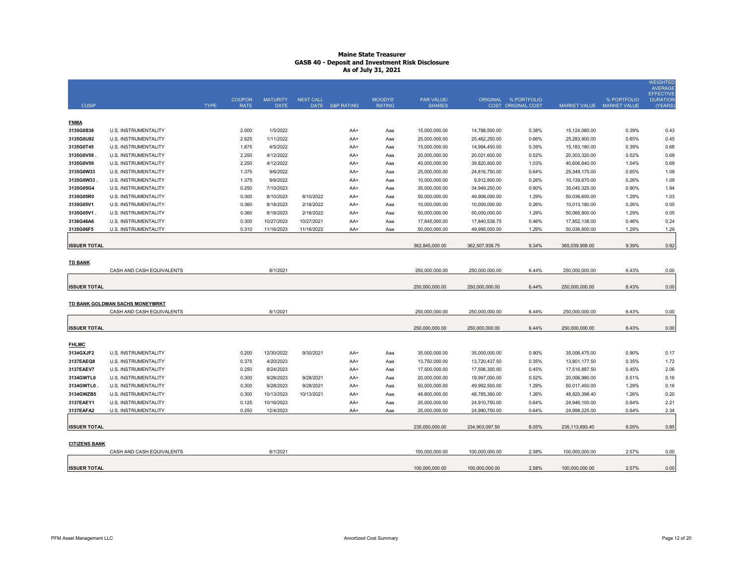|                          |                                 |             |               |                 |                  |                 |               |                                |                |                      |                                |             | <b>WEIGHTED</b><br><b>AVERAGE</b>   |
|--------------------------|---------------------------------|-------------|---------------|-----------------|------------------|-----------------|---------------|--------------------------------|----------------|----------------------|--------------------------------|-------------|-------------------------------------|
|                          |                                 |             | <b>COUPON</b> | <b>MATURITY</b> | <b>NEXT CALL</b> |                 | MOODYS'       | PAR VALUE/                     |                | ORIGINAL % PORTFOLIO |                                | % PORTFOLIO | <b>EFFECTIVE</b><br><b>DURATION</b> |
| <b>CUSIP</b>             |                                 | <b>TYPE</b> | <b>RATE</b>   | <b>DATE</b>     |                  | DATE S&P RATING | <b>RATING</b> | <b>SHARES</b>                  |                | COST ORIGINAL COST   | MARKET VALUE MARKET VALUE      |             | (YEARS)                             |
|                          |                                 |             |               |                 |                  |                 |               |                                |                |                      |                                |             |                                     |
| <b>FNMA</b><br>3135G0S38 | U.S. INSTRUMENTALITY            |             | 2.000         | 1/5/2022        |                  |                 |               |                                | 14,788,500.00  | 0.38%                |                                | 0.39%       |                                     |
| 3135G0U92                | U.S. INSTRUMENTALITY            |             | 2.625         | 1/11/2022       |                  | AA+<br>AA+      | Aaa<br>Aaa    | 15,000,000.00<br>25,000,000.00 | 25,462,250.00  | 0.66%                | 15,124,080.00<br>25,283,900.00 | 0.65%       | 0.43<br>0.45                        |
| 3135G0T45                | U.S. INSTRUMENTALITY            |             | 1.875         | 4/5/2022        |                  | AA+             | Aaa           | 15,000,000.00                  | 14,994,450.00  | 0.39%                | 15, 183, 180.00                | 0.39%       | 0.68                                |
| 3135G0V59.               | U.S. INSTRUMENTALITY            |             | 2.250         | 4/12/2022       |                  | AA+             | Aaa           | 20,000,000.00                  | 20,021,600.00  | 0.52%                | 20,303,320.00                  | 0.52%       | 0.69                                |
| 3135G0V59                | U.S. INSTRUMENTALITY            |             | 2.250         | 4/12/2022       |                  | AA+             | Aaa           | 40,000,000.00                  | 39,820,800.00  | 1.03%                | 40,606,640.00                  | 1.04%       | 0.69                                |
| 3135G0W33                | U.S. INSTRUMENTALITY            |             | 1.375         | 9/6/2022        |                  | AA+             | Aaa           | 25,000,000.00                  | 24,816,750.00  | 0.64%                | 25,349,175.00                  | 0.65%       | 1.09                                |
| 3135G0W33                | <b>U.S. INSTRUMENTALITY</b>     |             | 1.375         | 9/6/2022        |                  | AA+             | Aaa           | 10,000,000.00                  | 9,912,800.00   | 0.26%                | 10,139,670.00                  | 0.26%       | 1.09                                |
| 3135G05G4                | <b>U.S. INSTRUMENTALITY</b>     |             | 0.250         | 7/10/2023       |                  | $AA+$           | Aaa           | 35,000,000.00                  | 34,949,250.00  | 0.90%                | 35,045,325.00                  | 0.90%       | 1.94                                |
| 3135G05R0                | U.S. INSTRUMENTALITY            |             | 0.300         | 8/10/2023       | 8/10/2022        | AA+             | Aaa           | 50,000,000.00                  | 49,906,000.00  | 1.29%                | 50,036,600.00                  | 1.29%       | 1.03                                |
| 3135G05V1                | <b>U.S. INSTRUMENTALITY</b>     |             | 0.360         | 8/18/2023       | 2/18/2022        | AA+             | Aaa           | 10,000,000.00                  | 10,000,000.00  | 0.26%                | 10,013,180.00                  | 0.26%       | 0.05                                |
| 3135G05V1                | U.S. INSTRUMENTALITY            |             | 0.360         | 8/18/2023       | 2/18/2022        | AA+             | Aaa           | 50,000,000.00                  | 50,000,000.00  | 1.29%                | 50,065,900.00                  | 1.29%       | 0.05                                |
| 3136G46A6                | U.S. INSTRUMENTALITY            |             | 0.300         | 10/27/2023      | 10/27/2021       | AA+             | Aaa           | 17,845,000.00                  | 17,840,538.75  | 0.46%                | 17,852,138.00                  | 0.46%       | 0.24                                |
| 3135G06F5                | U.S. INSTRUMENTALITY            |             | 0.310         | 11/16/2023      | 11/16/2022       | AA+             | Aaa           | 50,000,000.00                  | 49,995,000.00  | 1.29%                | 50,036,800.00                  | 1.29%       | 1.29                                |
|                          |                                 |             |               |                 |                  |                 |               |                                |                |                      |                                |             |                                     |
| <b>ISSUER TOTAL</b>      |                                 |             |               |                 |                  |                 |               | 362,845,000.00                 | 362,507,938.75 | 9.34%                | 365,039,908.00                 | 9.39%       | 0.82                                |
|                          |                                 |             |               |                 |                  |                 |               |                                |                |                      |                                |             |                                     |
| <b>TD BANK</b>           |                                 |             |               |                 |                  |                 |               |                                |                |                      |                                |             |                                     |
|                          | CASH AND CASH EQUIVALENTS       |             |               | 8/1/2021        |                  |                 |               | 250,000,000.00                 | 250,000,000.00 | 6.44%                | 250,000,000.00                 | 6.43%       | 0.00                                |
| <b>ISSUER TOTAL</b>      |                                 |             |               |                 |                  |                 |               | 250,000,000.00                 | 250,000,000.00 | 6.44%                | 250,000,000.00                 | 6.43%       | 0.00                                |
|                          |                                 |             |               |                 |                  |                 |               |                                |                |                      |                                |             |                                     |
|                          | TD BANK GOLDMAN SACHS MONEYMRKT |             |               |                 |                  |                 |               |                                |                |                      |                                |             |                                     |
|                          | CASH AND CASH EQUIVALENTS       |             |               | 8/1/2021        |                  |                 |               | 250.000.000.00                 | 250.000.000.00 | 6.44%                | 250.000.000.00                 | 6.43%       | 0.00                                |
|                          |                                 |             |               |                 |                  |                 |               |                                |                |                      |                                |             |                                     |
| <b>ISSUER TOTAL</b>      |                                 |             |               |                 |                  |                 |               | 250,000,000.00                 | 250,000,000.00 | 6.44%                | 250,000,000.00                 | 6.43%       | 0.00                                |
|                          |                                 |             |               |                 |                  |                 |               |                                |                |                      |                                |             |                                     |
| <b>FHLMC</b>             |                                 |             |               |                 |                  |                 |               |                                |                |                      |                                |             |                                     |
| 3134GXJF2                | U.S. INSTRUMENTALITY            |             | 0.200         | 12/30/2022      | 9/30/2021        | AA+             | Aaa           | 35,000,000.00                  | 35,000,000.00  | 0.90%                | 35,006,475.00                  | 0.90%       | 0.17                                |
| 3137EAEQ8                | U.S. INSTRUMENTALITY            |             | 0.375         | 4/20/2023       |                  | AA+             | Aaa           | 13,750,000.00                  | 13,720,437.50  | 0.35%                | 13,801,177.50                  | 0.35%       | 1.72                                |
| 3137EAEV7                | U.S. INSTRUMENTALITY            |             | 0.250         | 8/24/2023       |                  | AA+             | Aaa           | 17,500,000.00                  | 17,506,300.00  | 0.45%                | 17,516,887.50                  | 0.45%       | 2.06                                |
| 3134GWTL0                | U.S. INSTRUMENTALITY            |             | 0.300         | 9/28/2023       | 9/28/2021        | AA+             | Aaa           | 20,000,000.00                  | 19,997,000.00  | 0.52%                | 20,006,980.00                  | 0.51%       | 0.16                                |
| 3134GWTL0                | U.S. INSTRUMENTALITY            |             | 0.300         | 9/28/2023       | 9/28/2021        | AA+             | Aaa           | 50,000,000.00                  | 49,992,500.00  | 1.29%                | 50,017,450.00                  | 1.29%       | 0.16                                |
| 3134GWZB5                | <b>U.S. INSTRUMENTALITY</b>     |             | 0.300         | 10/13/2023      | 10/13/2021       | AA+             | Aaa           | 48,800,000.00                  | 48,785,360.00  | 1.26%                | 48,820,398.40                  | 1.26%       | 0.20                                |
| 3137EAEY1                | U.S. INSTRUMENTALITY            |             | 0.125         | 10/16/2023      |                  | AA+             | Aaa           | 25,000,000.00                  | 24,910,750.00  | 0.64%                | 24,946,100.00                  | 0.64%       | 2.21                                |
| 3137EAFA2                | U.S. INSTRUMENTALITY            |             | 0.250         | 12/4/2023       |                  | AA+             | Aaa           | 25,000,000.00                  | 24,990,750.00  | 0.64%                | 24,998,225.00                  | 0.64%       | 2.34                                |
|                          |                                 |             |               |                 |                  |                 |               |                                |                |                      |                                |             |                                     |
| <b>ISSUER TOTAL</b>      |                                 |             |               |                 |                  |                 |               | 235,050,000.00                 | 234,903,097.50 | 6.05%                | 235, 113, 693.40               | 6.05%       | 0.85                                |
| <b>CITIZENS BANK</b>     |                                 |             |               |                 |                  |                 |               |                                |                |                      |                                |             |                                     |
|                          | CASH AND CASH EQUIVALENTS       |             |               | 8/1/2021        |                  |                 |               | 100.000.000.00                 | 100.000.000.00 | 2.58%                | 100,000,000.00                 | 2.57%       | 0.00                                |
|                          |                                 |             |               |                 |                  |                 |               |                                |                |                      |                                |             |                                     |
| <b>ISSUER TOTAL</b>      |                                 |             |               |                 |                  |                 |               | 100.000.000.00                 | 100.000.000.00 | 2.58%                | 100.000.000.00                 | 2.57%       | 0.00                                |
|                          |                                 |             |               |                 |                  |                 |               |                                |                |                      |                                |             |                                     |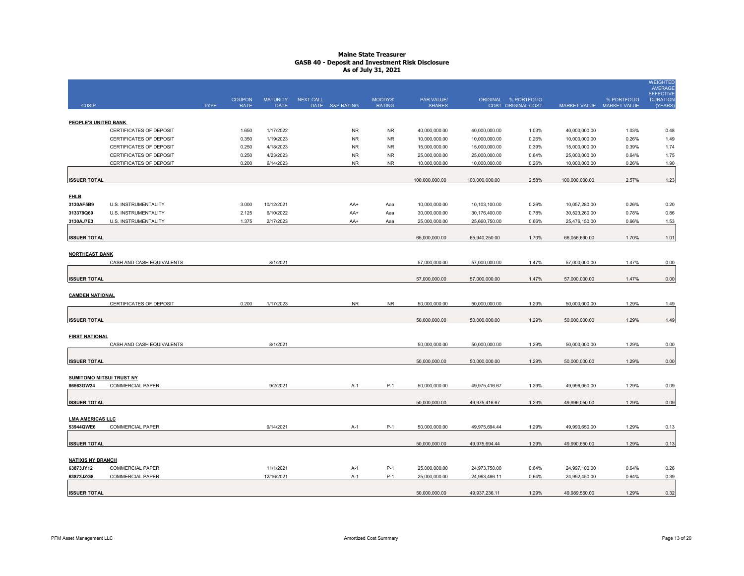|                                 |                           |             | <b>COUPON</b> | <b>MATURITY</b> | <b>NEXT CALL</b> |                 | MOODYS'       | PAR VALUE/     |                | ORIGINAL % PORTFOLIO |                | % PORTFOLIO               | <b>WEIGHTED</b><br><b>AVERAGE</b><br><b>EFFECTIVE</b><br><b>DURATION</b> |
|---------------------------------|---------------------------|-------------|---------------|-----------------|------------------|-----------------|---------------|----------------|----------------|----------------------|----------------|---------------------------|--------------------------------------------------------------------------|
| <b>CUSIP</b>                    |                           | <b>TYPE</b> | <b>RATE</b>   | <b>DATE</b>     |                  | DATE S&P RATING | <b>RATING</b> | <b>SHARES</b>  |                | COST ORIGINAL COST   |                | MARKET VALUE MARKET VALUE | (YEARS)                                                                  |
| PEOPLE'S UNITED BANK            |                           |             |               |                 |                  |                 |               |                |                |                      |                |                           |                                                                          |
|                                 | CERTIFICATES OF DEPOSIT   |             | 1.650         | 1/17/2022       |                  | <b>NR</b>       | <b>NR</b>     | 40,000,000.00  | 40,000,000.00  | 1.03%                | 40,000,000.00  | 1.03%                     | 0.48                                                                     |
|                                 | CERTIFICATES OF DEPOSIT   |             | 0.350         | 1/19/2023       |                  | <b>NR</b>       | <b>NR</b>     | 10,000,000.00  | 10,000,000.00  | 0.26%                | 10,000,000.00  | 0.26%                     | 1.49                                                                     |
|                                 | CERTIFICATES OF DEPOSIT   |             | 0.250         | 4/18/2023       |                  | <b>NR</b>       | <b>NR</b>     | 15,000,000.00  | 15,000,000.00  | 0.39%                | 15,000,000.00  | 0.39%                     | 1.74                                                                     |
|                                 | CERTIFICATES OF DEPOSIT   |             | 0.250         | 4/23/2023       |                  | <b>NR</b>       | <b>NR</b>     | 25,000,000.00  | 25,000,000.00  | 0.64%                | 25,000,000.00  | 0.64%                     | 1.75                                                                     |
|                                 | CERTIFICATES OF DEPOSIT   |             | 0.200         | 6/14/2023       |                  | ${\sf NR}$      | <b>NR</b>     | 10,000,000.00  | 10,000,000.00  | 0.26%                | 10,000,000.00  | 0.26%                     | 1.90                                                                     |
|                                 |                           |             |               |                 |                  |                 |               |                |                |                      |                |                           |                                                                          |
| <b>ISSUER TOTAL</b>             |                           |             |               |                 |                  |                 |               | 100,000,000.00 | 100,000,000.00 | 2.58%                | 100,000,000.00 | 2.57%                     | 1.23                                                                     |
| <b>FHLB</b>                     |                           |             |               |                 |                  |                 |               |                |                |                      |                |                           |                                                                          |
| 3130AF5B9                       | U.S. INSTRUMENTALITY      |             | 3.000         | 10/12/2021      |                  | AA+             | Aaa           | 10,000,000.00  | 10,103,100.00  | 0.26%                | 10,057,280.00  | 0.26%                     | 0.20                                                                     |
| 313379Q69                       | U.S. INSTRUMENTALITY      |             | 2.125         | 6/10/2022       |                  | AA+             | Aaa           | 30,000,000.00  | 30,176,400.00  | 0.78%                | 30,523,260.00  | 0.78%                     | 0.86                                                                     |
| 3130AJ7E3                       | U.S. INSTRUMENTALITY      |             | 1.375         | 2/17/2023       |                  | AA+             | Aaa           | 25,000,000.00  | 25,660,750.00  | 0.66%                | 25,476,150.00  | 0.66%                     | 1.53                                                                     |
|                                 |                           |             |               |                 |                  |                 |               |                |                |                      |                |                           |                                                                          |
| <b>ISSUER TOTAL</b>             |                           |             |               |                 |                  |                 |               | 65,000,000.00  | 65,940,250.00  | 1.70%                | 66,056,690.00  | 1.70%                     | 1.01                                                                     |
|                                 |                           |             |               |                 |                  |                 |               |                |                |                      |                |                           |                                                                          |
| <b>NORTHEAST BANK</b>           |                           |             |               |                 |                  |                 |               |                |                |                      |                |                           |                                                                          |
|                                 | CASH AND CASH EQUIVALENTS |             |               | 8/1/2021        |                  |                 |               | 57,000,000.00  | 57,000,000.00  | 1.47%                | 57,000,000.00  | 1.47%                     | 0.00                                                                     |
| <b>ISSUER TOTAL</b>             |                           |             |               |                 |                  |                 |               | 57,000,000.00  | 57,000,000.00  | 1.47%                | 57,000,000.00  | 1.47%                     | 0.00                                                                     |
|                                 |                           |             |               |                 |                  |                 |               |                |                |                      |                |                           |                                                                          |
| <b>CAMDEN NATIONAL</b>          |                           |             |               |                 |                  |                 |               |                |                |                      |                |                           |                                                                          |
|                                 | CERTIFICATES OF DEPOSIT   |             | 0.200         | 1/17/2023       |                  | <b>NR</b>       | <b>NR</b>     | 50,000,000.00  | 50,000,000.00  | 1.29%                | 50,000,000.00  | 1.29%                     | 1.49                                                                     |
|                                 |                           |             |               |                 |                  |                 |               |                |                |                      |                |                           |                                                                          |
| <b>ISSUER TOTAL</b>             |                           |             |               |                 |                  |                 |               | 50,000,000.00  | 50,000,000.00  | 1.29%                | 50,000,000.00  | 1.29%                     | 1.49                                                                     |
|                                 |                           |             |               |                 |                  |                 |               |                |                |                      |                |                           |                                                                          |
| <b>FIRST NATIONAL</b>           |                           |             |               |                 |                  |                 |               |                |                |                      |                |                           |                                                                          |
|                                 | CASH AND CASH EQUIVALENTS |             |               | 8/1/2021        |                  |                 |               | 50,000,000.00  | 50,000,000.00  | 1.29%                | 50,000,000.00  | 1.29%                     | 0.00                                                                     |
| <b>ISSUER TOTAL</b>             |                           |             |               |                 |                  |                 |               | 50.000.000.00  | 50,000,000.00  | 1.29%                | 50.000.000.00  | 1.29%                     | 0.00                                                                     |
|                                 |                           |             |               |                 |                  |                 |               |                |                |                      |                |                           |                                                                          |
| <b>SUMITOMO MITSUI TRUST NY</b> |                           |             |               |                 |                  |                 |               |                |                |                      |                |                           |                                                                          |
| 86563GW24                       | <b>COMMERCIAL PAPER</b>   |             |               | 9/2/2021        |                  | A-1             | $P-1$         | 50,000,000.00  | 49,975,416.67  | 1.29%                | 49,996,050.00  | 1.29%                     | 0.09                                                                     |
|                                 |                           |             |               |                 |                  |                 |               |                |                |                      |                |                           |                                                                          |
| <b>ISSUER TOTAL</b>             |                           |             |               |                 |                  |                 |               | 50,000,000.00  | 49,975,416.67  | 1.29%                | 49,996,050.00  | 1.29%                     | 0.09                                                                     |
|                                 |                           |             |               |                 |                  |                 |               |                |                |                      |                |                           |                                                                          |
| <b>LMA AMERICAS LLC</b>         |                           |             |               |                 |                  |                 |               | 50.000.000.00  | 49.975.694.44  |                      |                |                           |                                                                          |
| 53944QWE6                       | <b>COMMERCIAL PAPER</b>   |             |               | 9/14/2021       |                  | $A-1$           | $P-1$         |                |                | 1.29%                | 49,990,650.00  | 1.29%                     | 0.13                                                                     |
| <b>ISSUER TOTAL</b>             |                           |             |               |                 |                  |                 |               | 50,000,000.00  | 49,975,694.44  | 1.29%                | 49,990,650.00  | 1.29%                     | 0.13                                                                     |
|                                 |                           |             |               |                 |                  |                 |               |                |                |                      |                |                           |                                                                          |
| <b>NATIXIS NY BRANCH</b>        |                           |             |               |                 |                  |                 |               |                |                |                      |                |                           |                                                                          |
| 63873JY12                       | <b>COMMERCIAL PAPER</b>   |             |               | 11/1/2021       |                  | $A-1$           | $P-1$         | 25,000,000.00  | 24,973,750.00  | 0.64%                | 24,997,100.00  | 0.64%                     | 0.26                                                                     |
| 63873JZG8                       | <b>COMMERCIAL PAPER</b>   |             |               | 12/16/2021      |                  | A-1             | $P-1$         | 25,000,000.00  | 24,963,486.11  | 0.64%                | 24,992,450.00  | 0.64%                     | 0.39                                                                     |
|                                 |                           |             |               |                 |                  |                 |               |                |                |                      |                |                           |                                                                          |
| <b>ISSUER TOTAL</b>             |                           |             |               |                 |                  |                 |               | 50,000,000.00  | 49,937,236.11  | 1.29%                | 49,989,550.00  | 1.29%                     | 0.32                                                                     |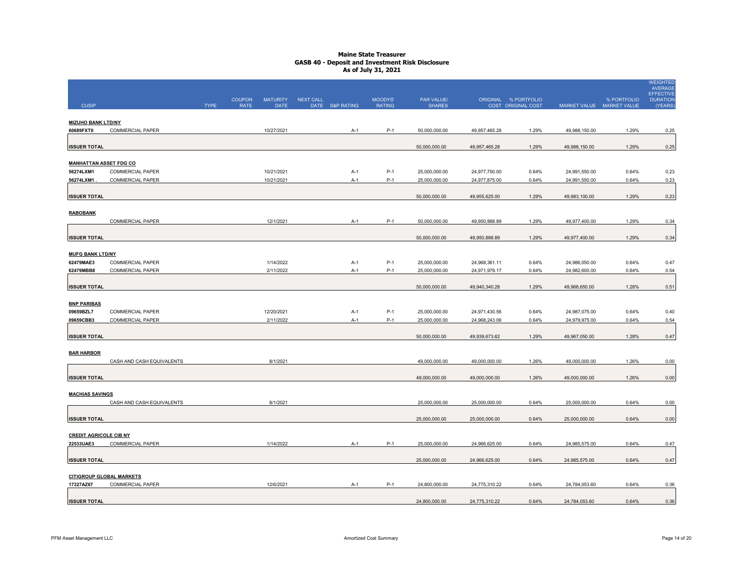|                               |                                             |             |                              |                         |                              |                          |                                |               |                                            |                                |                                          | <b>WEIGHTED</b><br><b>AVERAGE</b>              |
|-------------------------------|---------------------------------------------|-------------|------------------------------|-------------------------|------------------------------|--------------------------|--------------------------------|---------------|--------------------------------------------|--------------------------------|------------------------------------------|------------------------------------------------|
| <b>CUSIP</b>                  |                                             | <b>TYPE</b> | <b>COUPON</b><br><b>RATE</b> | <b>MATURITY</b><br>DATE | NEXT CALL<br>DATE S&P RATING | MOODYS'<br><b>RATING</b> | PAR VALUE/<br><b>SHARES</b>    |               | ORIGINAL % PORTFOLIO<br>COST ORIGINAL COST |                                | % PORTFOLIO<br>MARKET VALUE MARKET VALUE | <b>EFFECTIVE</b><br><b>DURATION</b><br>(YEARS) |
|                               |                                             |             |                              |                         |                              |                          |                                |               |                                            |                                |                                          |                                                |
| <b>MIZUHO BANK LTD/NY</b>     |                                             |             |                              |                         |                              |                          |                                |               |                                            |                                |                                          |                                                |
| 60689FXT0                     | <b>COMMERCIAL PAPER</b>                     |             |                              | 10/27/2021              | $A-1$                        | $P-1$                    | 50,000,000.00                  | 49,957,465.28 | 1.29%                                      | 49,988,150.00                  | 1.29%                                    | 0.25                                           |
| <b>ISSUER TOTAL</b>           |                                             |             |                              |                         |                              |                          | 50,000,000.00                  | 49,957,465.28 | 1.29%                                      | 49,988,150.00                  | 1.29%                                    | 0.25                                           |
| <b>MANHATTAN ASSET FDG CO</b> |                                             |             |                              |                         |                              |                          |                                |               |                                            |                                |                                          |                                                |
| 56274LXM1                     | <b>COMMERCIAL PAPER</b>                     |             |                              | 10/21/2021              | A-1                          | $P-1$                    | 25,000,000.00                  | 24,977,750.00 | 0.64%                                      | 24,991,550.00                  | 0.64%                                    | 0.23                                           |
| 56274LXM1                     | <b>COMMERCIAL PAPER</b>                     |             |                              | 10/21/2021              | $A-1$                        | $P-1$                    | 25,000,000.00                  | 24,977,875.00 | 0.64%                                      | 24,991,550.00                  | 0.64%                                    | 0.23                                           |
|                               |                                             |             |                              |                         |                              |                          |                                |               |                                            |                                |                                          |                                                |
| <b>ISSUER TOTAL</b>           |                                             |             |                              |                         |                              |                          | 50,000,000.00                  | 49,955,625.00 | 1.29%                                      | 49,983,100.00                  | 1.29%                                    | 0.23                                           |
| <b>RABOBANK</b>               |                                             |             |                              |                         |                              |                          |                                |               |                                            |                                |                                          |                                                |
|                               | <b>COMMERCIAL PAPER</b>                     |             |                              | 12/1/2021               | $A-1$                        | $P-1$                    | 50,000,000.00                  | 49,950,888.89 | 1.29%                                      | 49,977,400.00                  | 1.29%                                    | 0.34                                           |
| <b>ISSUER TOTAL</b>           |                                             |             |                              |                         |                              |                          | 50,000,000.00                  | 49,950,888.89 | 1.29%                                      | 49,977,400.00                  | 1.29%                                    | 0.34                                           |
|                               |                                             |             |                              |                         |                              |                          |                                |               |                                            |                                |                                          |                                                |
| <b>MUFG BANK LTD/NY</b>       |                                             |             |                              |                         |                              |                          |                                |               |                                            |                                |                                          |                                                |
| 62479MAE3                     | <b>COMMERCIAL PAPER</b>                     |             |                              | 1/14/2022               | $A-1$                        | P-1                      | 25,000,000.00                  | 24,968,361.11 | 0.64%                                      | 24,986,050.00                  | 0.64%                                    | 0.47                                           |
| 62479MBB8                     | <b>COMMERCIAL PAPER</b>                     |             |                              | 2/11/2022               | $A-1$                        | $P-1$                    | 25,000,000.00                  | 24,971,979.17 | 0.64%                                      | 24,982,600.00                  | 0.64%                                    | 0.54                                           |
| <b>ISSUER TOTAL</b>           |                                             |             |                              |                         |                              |                          | 50,000,000.00                  | 49,940,340.28 | 1.29%                                      | 49,968,650.00                  | 1.28%                                    | 0.51                                           |
|                               |                                             |             |                              |                         |                              |                          |                                |               |                                            |                                |                                          |                                                |
| <b>BNP PARIBAS</b>            |                                             |             |                              | 12/20/2021              |                              | P-1                      |                                |               | 0.64%                                      |                                | 0.64%                                    |                                                |
| 09659BZL7<br>09659CBB3        | <b>COMMERCIAL PAPER</b><br>COMMERCIAL PAPER |             |                              | 2/11/2022               | $A-1$<br>$A-1$               | $P-1$                    | 25,000,000.00<br>25,000,000.00 | 24,971,430.56 | 0.64%                                      | 24,987,075.00<br>24,979,975.00 | 0.64%                                    | 0.40<br>0.54                                   |
|                               |                                             |             |                              |                         |                              |                          |                                | 24,968,243.06 |                                            |                                |                                          |                                                |
| <b>ISSUER TOTAL</b>           |                                             |             |                              |                         |                              |                          | 50,000,000.00                  | 49,939,673.62 | 1.29%                                      | 49,967,050.00                  | 1.28%                                    | 0.47                                           |
| <b>BAR HARBOR</b>             |                                             |             |                              |                         |                              |                          |                                |               |                                            |                                |                                          |                                                |
|                               | CASH AND CASH EQUIVALENTS                   |             |                              | 8/1/2021                |                              |                          | 49,000,000.00                  | 49,000,000.00 | 1.26%                                      | 49,000,000.00                  | 1.26%                                    | 0.00                                           |
| <b>ISSUER TOTAL</b>           |                                             |             |                              |                         |                              |                          | 49,000,000.00                  | 49,000,000.00 | 1.26%                                      | 49,000,000.00                  | 1.26%                                    | 0.00                                           |
|                               |                                             |             |                              |                         |                              |                          |                                |               |                                            |                                |                                          |                                                |
| <b>MACHIAS SAVINGS</b>        |                                             |             |                              |                         |                              |                          |                                |               |                                            |                                |                                          |                                                |
|                               | CASH AND CASH EQUIVALENTS                   |             |                              | 8/1/2021                |                              |                          | 25,000,000.00                  | 25,000,000.00 | 0.64%                                      | 25,000,000.00                  | 0.64%                                    | 0.00                                           |
| <b>ISSUER TOTAL</b>           |                                             |             |                              |                         |                              |                          | 25,000,000.00                  | 25,000,000.00 | 0.64%                                      | 25,000,000.00                  | 0.64%                                    | 0.00                                           |
| <b>CREDIT AGRICOLE CIB NY</b> |                                             |             |                              |                         |                              |                          |                                |               |                                            |                                |                                          |                                                |
| 22533UAE3                     | COMMERCIAL PAPER                            |             |                              | 1/14/2022               | A-1                          | $P-1$                    | 25,000,000.00                  | 24,966,625.00 | 0.64%                                      | 24,985,575.00                  | 0.64%                                    | 0.47                                           |
|                               |                                             |             |                              |                         |                              |                          |                                |               |                                            |                                |                                          |                                                |
| <b>ISSUER TOTAL</b>           |                                             |             |                              |                         |                              |                          | 25,000,000.00                  | 24,966,625.00 | 0.64%                                      | 24,985,575.00                  | 0.64%                                    | 0.47                                           |
|                               | <b>CITIGROUP GLOBAL MARKETS</b>             |             |                              |                         |                              |                          |                                |               |                                            |                                |                                          |                                                |
| 17327AZ67                     | <b>COMMERCIAL PAPER</b>                     |             |                              | 12/6/2021               | A-1                          | P-1                      | 24,800,000.00                  | 24,775,310.22 | 0.64%                                      | 24,784,053.60                  | 0.64%                                    | 0.36                                           |
|                               |                                             |             |                              |                         |                              |                          |                                |               |                                            |                                |                                          |                                                |
| <b>ISSUER TOTAL</b>           |                                             |             |                              |                         |                              |                          | 24,800,000.00                  | 24,775,310.22 | 0.64%                                      | 24,784,053.60                  | 0.64%                                    | 0.36                                           |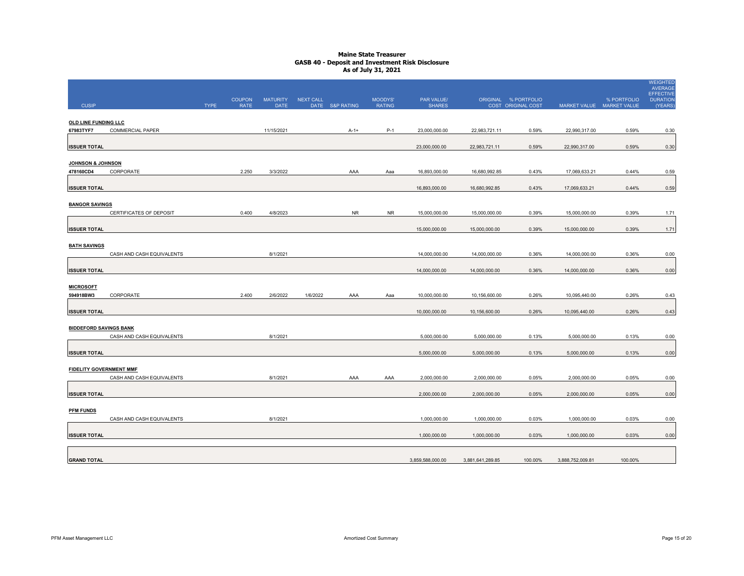| <b>CUSIP</b>                             |                           | <b>TYPE</b> | <b>COUPON</b><br><b>RATE</b> | <b>MATURITY</b><br><b>DATE</b> | NEXT CALL | DATE S&P RATING | MOODYS'<br><b>RATING</b> | PAR VALUE/<br><b>SHARES</b>    |                                | ORIGINAL % PORTFOLIO<br>COST ORIGINAL COST |                                | % PORTFOLIO<br>MARKET VALUE MARKET VALUE | <b>WEIGHTED</b><br><b>AVERAGE</b><br><b>EFFECTIVE</b><br><b>DURATION</b><br>(YEARS) |
|------------------------------------------|---------------------------|-------------|------------------------------|--------------------------------|-----------|-----------------|--------------------------|--------------------------------|--------------------------------|--------------------------------------------|--------------------------------|------------------------------------------|-------------------------------------------------------------------------------------|
| <b>OLD LINE FUNDING LLC</b><br>67983TYF7 | <b>COMMERCIAL PAPER</b>   |             |                              | 11/15/2021                     |           | $A-1+$          | $P-1$                    | 23,000,000.00                  | 22,983,721.11                  | 0.59%                                      | 22,990,317.00                  | 0.59%                                    | 0.30                                                                                |
| <b>ISSUER TOTAL</b>                      |                           |             |                              |                                |           |                 |                          | 23,000,000.00                  | 22,983,721.11                  | 0.59%                                      | 22,990,317.00                  | 0.59%                                    | 0.30                                                                                |
| JOHNSON & JOHNSON<br>478160CD4           | CORPORATE                 |             | 2.250                        | 3/3/2022                       |           | AAA             | Aaa                      | 16,893,000.00                  | 16,680,992.85                  | 0.43%                                      | 17,069,633.21                  | 0.44%                                    | 0.59                                                                                |
| <b>ISSUER TOTAL</b>                      |                           |             |                              |                                |           |                 |                          | 16,893,000.00                  | 16,680,992.85                  | 0.43%                                      | 17,069,633.21                  | 0.44%                                    | 0.59                                                                                |
| <b>BANGOR SAVINGS</b>                    | CERTIFICATES OF DEPOSIT   |             | 0.400                        | 4/8/2023                       |           | <b>NR</b>       | <b>NR</b>                | 15,000,000.00                  | 15,000,000.00                  | 0.39%                                      | 15,000,000.00                  | 0.39%                                    | 1.71                                                                                |
| <b>ISSUER TOTAL</b>                      |                           |             |                              |                                |           |                 |                          | 15,000,000.00                  | 15,000,000.00                  | 0.39%                                      | 15,000,000.00                  | 0.39%                                    | 1.71                                                                                |
| <b>BATH SAVINGS</b>                      |                           |             |                              |                                |           |                 |                          |                                |                                |                                            |                                |                                          |                                                                                     |
| <b>ISSUER TOTAL</b>                      | CASH AND CASH EQUIVALENTS |             |                              | 8/1/2021                       |           |                 |                          | 14,000,000.00<br>14,000,000.00 | 14,000,000.00<br>14,000,000.00 | 0.36%<br>0.36%                             | 14,000,000.00<br>14,000,000.00 | 0.36%<br>0.36%                           | 0.00<br>0.00                                                                        |
| <b>MICROSOFT</b>                         |                           |             |                              |                                |           |                 |                          |                                |                                |                                            |                                |                                          |                                                                                     |
| 594918BW3<br><b>ISSUER TOTAL</b>         | CORPORATE                 |             | 2.400                        | 2/6/2022                       | 1/6/2022  | AAA             | Aaa                      | 10,000,000.00<br>10,000,000.00 | 10,156,600.00<br>10,156,600.00 | 0.26%<br>0.26%                             | 10,095,440.00<br>10,095,440.00 | 0.26%<br>0.26%                           | 0.43<br>0.43                                                                        |
| <b>BIDDEFORD SAVINGS BANK</b>            |                           |             |                              |                                |           |                 |                          |                                |                                |                                            |                                |                                          |                                                                                     |
| <b>ISSUER TOTAL</b>                      | CASH AND CASH EQUIVALENTS |             |                              | 8/1/2021                       |           |                 |                          | 5,000,000.00<br>5,000,000.00   | 5,000,000.00<br>5,000,000.00   | 0.13%<br>0.13%                             | 5,000,000.00<br>5,000,000.00   | 0.13%<br>0.13%                           | 0.00<br>0.00                                                                        |
| <b>FIDELITY GOVERNMENT MMF</b>           |                           |             |                              |                                |           |                 |                          |                                |                                |                                            |                                |                                          |                                                                                     |
| <b>ISSUER TOTAL</b>                      | CASH AND CASH EQUIVALENTS |             |                              | 8/1/2021                       |           | AAA             | AAA                      | 2,000,000.00<br>2,000,000.00   | 2,000,000.00<br>2,000,000.00   | 0.05%<br>0.05%                             | 2,000,000.00<br>2,000,000.00   | 0.05%<br>0.05%                           | 0.00<br>0.00                                                                        |
| <b>PFM FUNDS</b>                         |                           |             |                              |                                |           |                 |                          |                                |                                |                                            |                                |                                          |                                                                                     |
|                                          | CASH AND CASH EQUIVALENTS |             |                              | 8/1/2021                       |           |                 |                          | 1,000,000.00                   | 1,000,000.00                   | 0.03%                                      | 1,000,000.00                   | 0.03%                                    | 0.00                                                                                |
| <b>ISSUER TOTAL</b>                      |                           |             |                              |                                |           |                 |                          | 1.000.000.00                   | 1,000,000.00                   | 0.03%                                      | 1,000,000.00                   | 0.03%                                    | 0.00                                                                                |
| <b>GRAND TOTAL</b>                       |                           |             |                              |                                |           |                 |                          | 3,859,588,000.00               | 3,881,641,289.85               | 100.00%                                    | 3,888,752,009.81               | 100.00%                                  |                                                                                     |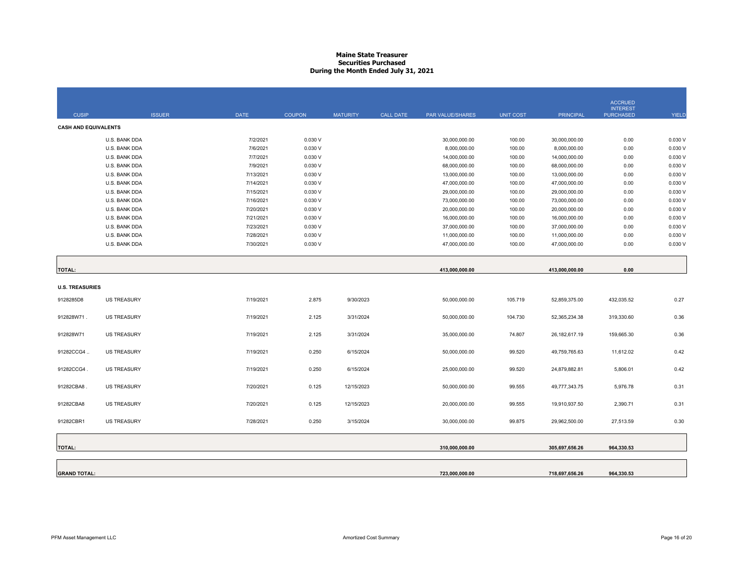## **Maine State Treasurer Securities PurchasedDuring the Month Ended July 31, 2021**

|                             |                                |                        |                  |                 |                  |                                |                  |                                | <b>ACCRUED</b>                      |                   |
|-----------------------------|--------------------------------|------------------------|------------------|-----------------|------------------|--------------------------------|------------------|--------------------------------|-------------------------------------|-------------------|
| <b>CUSIP</b>                | <b>ISSUER</b>                  | <b>DATE</b>            | <b>COUPON</b>    | <b>MATURITY</b> | <b>CALL DATE</b> | PAR VALUE/SHARES               | <b>UNIT COST</b> | <b>PRINCIPAL</b>               | <b>INTEREST</b><br><b>PURCHASED</b> | <b>YIELD</b>      |
| <b>CASH AND EQUIVALENTS</b> |                                |                        |                  |                 |                  |                                |                  |                                |                                     |                   |
|                             | U.S. BANK DDA                  | 7/2/2021               | 0.030V           |                 |                  | 30,000,000.00                  | 100.00           | 30,000,000.00                  | 0.00                                | 0.030 V           |
|                             | U.S. BANK DDA                  | 7/6/2021               | 0.030V           |                 |                  | 8,000,000.00                   | 100.00           | 8,000,000.00                   | 0.00                                | 0.030 V           |
|                             | U.S. BANK DDA                  | 7/7/2021               |                  |                 |                  |                                | 100.00           |                                |                                     | 0.030 V           |
|                             | U.S. BANK DDA                  | 7/9/2021               | 0.030V<br>0.030V |                 |                  | 14,000,000.00<br>68,000,000.00 | 100.00           | 14,000,000.00<br>68,000,000.00 | 0.00<br>0.00                        | 0.030 V           |
|                             | U.S. BANK DDA                  | 7/13/2021              | 0.030V           |                 |                  | 13,000,000.00                  | 100.00           | 13,000,000.00                  | 0.00                                | 0.030 V           |
|                             | U.S. BANK DDA                  | 7/14/2021              | 0.030V           |                 |                  | 47,000,000.00                  | 100.00           | 47,000,000.00                  | 0.00                                | 0.030 V           |
|                             | U.S. BANK DDA                  | 7/15/2021              | 0.030V           |                 |                  | 29,000,000.00                  | 100.00           | 29,000,000.00                  | 0.00                                | 0.030 V           |
|                             | U.S. BANK DDA                  | 7/16/2021              | 0.030V           |                 |                  | 73,000,000.00                  | 100.00           | 73,000,000.00                  | 0.00                                | 0.030 V           |
|                             |                                |                        |                  |                 |                  |                                |                  |                                |                                     |                   |
|                             | U.S. BANK DDA<br>U.S. BANK DDA | 7/20/2021<br>7/21/2021 | 0.030V<br>0.030V |                 |                  | 20,000,000.00<br>16,000,000.00 | 100.00<br>100.00 | 20,000,000.00                  | 0.00                                | 0.030V<br>0.030 V |
|                             |                                |                        |                  |                 |                  |                                |                  | 16,000,000.00                  | 0.00                                | 0.030 V           |
|                             | U.S. BANK DDA                  | 7/23/2021              | 0.030V           |                 |                  | 37,000,000.00                  | 100.00           | 37,000,000.00                  | 0.00                                |                   |
|                             | U.S. BANK DDA                  | 7/28/2021              | 0.030V           |                 |                  | 11,000,000.00                  | 100.00           | 11,000,000.00                  | 0.00                                | 0.030 V           |
|                             | U.S. BANK DDA                  | 7/30/2021              | 0.030V           |                 |                  | 47,000,000.00                  | 100.00           | 47,000,000.00                  | 0.00                                | 0.030 V           |
|                             |                                |                        |                  |                 |                  |                                |                  |                                |                                     |                   |
| <b>TOTAL:</b>               |                                |                        |                  |                 |                  | 413,000,000.00                 |                  | 413,000,000.00                 | 0.00                                |                   |
|                             |                                |                        |                  |                 |                  |                                |                  |                                |                                     |                   |
| <b>U.S. TREASURIES</b>      |                                |                        |                  |                 |                  |                                |                  |                                |                                     |                   |
| 9128285D8                   | <b>US TREASURY</b>             | 7/19/2021              | 2.875            | 9/30/2023       |                  | 50,000,000.00                  | 105.719          | 52,859,375.00                  | 432,035.52                          | 0.27              |
|                             |                                |                        |                  |                 |                  |                                |                  |                                |                                     |                   |
| 912828W71.                  | <b>US TREASURY</b>             | 7/19/2021              | 2.125            | 3/31/2024       |                  | 50,000,000.00                  | 104.730          | 52,365,234.38                  | 319,330.60                          | 0.36              |
|                             |                                |                        |                  |                 |                  |                                |                  |                                |                                     |                   |
| 912828W71                   | <b>US TREASURY</b>             | 7/19/2021              | 2.125            | 3/31/2024       |                  | 35,000,000.00                  | 74.807           | 26, 182, 617. 19               | 159,665.30                          | 0.36              |
|                             |                                |                        |                  |                 |                  |                                |                  |                                |                                     |                   |
| 91282CCG4                   | <b>US TREASURY</b>             | 7/19/2021              | 0.250            | 6/15/2024       |                  | 50,000,000.00                  | 99.520           | 49,759,765.63                  | 11,612.02                           | 0.42              |
|                             |                                |                        |                  |                 |                  |                                |                  |                                |                                     |                   |
| 91282CCG4.                  | <b>US TREASURY</b>             | 7/19/2021              | 0.250            | 6/15/2024       |                  | 25,000,000.00                  | 99.520           | 24,879,882.81                  | 5,806.01                            | 0.42              |
|                             |                                |                        |                  |                 |                  |                                |                  |                                |                                     |                   |
| 91282CBA8.                  | <b>US TREASURY</b>             | 7/20/2021              | 0.125            | 12/15/2023      |                  | 50,000,000.00                  | 99.555           | 49,777,343.75                  | 5,976.78                            | 0.31              |
|                             |                                |                        |                  |                 |                  |                                |                  |                                |                                     |                   |
| 91282CBA8                   | <b>US TREASURY</b>             | 7/20/2021              | 0.125            | 12/15/2023      |                  | 20,000,000.00                  | 99.555           | 19,910,937.50                  | 2,390.71                            | 0.31              |
|                             |                                |                        |                  |                 |                  |                                |                  |                                |                                     |                   |
| 91282CBR1                   | <b>US TREASURY</b>             | 7/28/2021              | 0.250            | 3/15/2024       |                  | 30,000,000.00                  | 99.875           | 29,962,500.00                  | 27,513.59                           | 0.30              |
|                             |                                |                        |                  |                 |                  |                                |                  |                                |                                     |                   |
|                             |                                |                        |                  |                 |                  |                                |                  |                                |                                     |                   |
| <b>TOTAL:</b>               |                                |                        |                  |                 |                  | 310,000,000.00                 |                  | 305,697,656.26                 | 964,330.53                          |                   |
|                             |                                |                        |                  |                 |                  |                                |                  |                                |                                     |                   |
|                             |                                |                        |                  |                 |                  |                                |                  |                                |                                     |                   |
| <b>GRAND TOTAL:</b>         |                                |                        |                  |                 |                  | 723,000,000.00                 |                  | 718,697,656.26                 | 964,330.53                          |                   |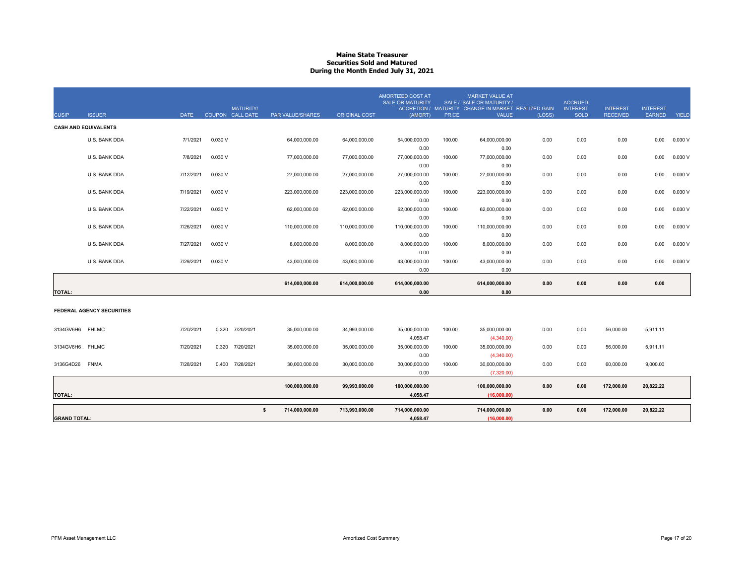## **Maine State Treasurer Securities Sold and MaturedDuring the Month Ended July 31, 2021**

| <b>CUSIP</b>        | <b>ISSUER</b>                    | <b>DATE</b> |         | <b>MATURITY/</b><br>COUPON CALL DATE | PAR VALUE/SHARES | <b>ORIGINAL COST</b> | AMORTIZED COST AT<br><b>SALE OR MATURITY</b><br>(AMORT) | <b>PRICE</b> | <b>MARKET VALUE AT</b><br>SALE / SALE OR MATURITY /<br>ACCRETION / MATURITY CHANGE IN MARKET REALIZED GAIN<br><b>VALUE</b> | (LOSS) | <b>ACCRUED</b><br><b>INTEREST</b><br><b>SOLD</b> | <b>INTEREST</b><br><b>RECEIVED</b> | <b>INTEREST</b><br><b>EARNED</b> | YIELD   |
|---------------------|----------------------------------|-------------|---------|--------------------------------------|------------------|----------------------|---------------------------------------------------------|--------------|----------------------------------------------------------------------------------------------------------------------------|--------|--------------------------------------------------|------------------------------------|----------------------------------|---------|
|                     | <b>CASH AND EQUIVALENTS</b>      |             |         |                                      |                  |                      |                                                         |              |                                                                                                                            |        |                                                  |                                    |                                  |         |
|                     | U.S. BANK DDA                    | 7/1/2021    | 0.030 V |                                      | 64,000,000.00    | 64,000,000.00        | 64,000,000.00                                           | 100.00       | 64,000,000.00                                                                                                              | 0.00   | 0.00                                             | 0.00                               | 0.00                             | 0.030 V |
|                     |                                  |             |         |                                      |                  |                      | 0.00                                                    |              | 0.00                                                                                                                       |        |                                                  |                                    |                                  |         |
|                     | U.S. BANK DDA                    | 7/8/2021    | 0.030 V |                                      | 77,000,000.00    | 77,000,000.00        | 77,000,000.00                                           | 100.00       | 77,000,000.00                                                                                                              | 0.00   | 0.00                                             | 0.00                               | 0.00                             | 0.030 V |
|                     |                                  |             |         |                                      |                  |                      | 0.00                                                    |              | 0.00                                                                                                                       |        |                                                  |                                    |                                  |         |
|                     | U.S. BANK DDA                    | 7/12/2021   | 0.030 V |                                      | 27,000,000.00    | 27,000,000.00        | 27,000,000.00                                           | 100.00       | 27,000,000.00                                                                                                              | 0.00   | 0.00                                             | 0.00                               | 0.00                             | 0.030V  |
|                     |                                  | 7/19/2021   | 0.030 V |                                      |                  |                      | 0.00                                                    |              | 0.00                                                                                                                       |        |                                                  |                                    |                                  |         |
|                     | U.S. BANK DDA                    |             |         |                                      | 223,000,000.00   | 223,000,000.00       | 223,000,000.00<br>0.00                                  | 100.00       | 223,000,000.00<br>0.00                                                                                                     | 0.00   | 0.00                                             | 0.00                               | 0.00                             | 0.030 V |
|                     | U.S. BANK DDA                    | 7/22/2021   | 0.030 V |                                      | 62,000,000.00    | 62,000,000.00        | 62,000,000.00                                           | 100.00       | 62,000,000.00                                                                                                              | 0.00   | 0.00                                             | 0.00                               | 0.00                             | 0.030V  |
|                     |                                  |             |         |                                      |                  |                      | 0.00                                                    |              | 0.00                                                                                                                       |        |                                                  |                                    |                                  |         |
|                     | U.S. BANK DDA                    | 7/26/2021   | 0.030 V |                                      | 110,000,000.00   | 110,000,000.00       | 110,000,000.00                                          | 100.00       | 110,000,000.00                                                                                                             | 0.00   | 0.00                                             | 0.00                               | 0.00                             | 0.030V  |
|                     |                                  |             |         |                                      |                  |                      | 0.00                                                    |              | 0.00                                                                                                                       |        |                                                  |                                    |                                  |         |
|                     | U.S. BANK DDA                    | 7/27/2021   | 0.030 V |                                      | 8,000,000.00     | 8,000,000.00         | 8,000,000.00                                            | 100.00       | 8,000,000.00                                                                                                               | 0.00   | 0.00                                             | 0.00                               | 0.00                             | 0.030 V |
|                     |                                  |             |         |                                      |                  |                      | 0.00                                                    |              | 0.00                                                                                                                       |        |                                                  |                                    |                                  |         |
|                     | U.S. BANK DDA                    | 7/29/2021   | 0.030 V |                                      | 43,000,000.00    | 43,000,000.00        | 43,000,000.00                                           | 100.00       | 43,000,000.00                                                                                                              | 0.00   | 0.00                                             | 0.00                               | 0.00                             | 0.030 V |
|                     |                                  |             |         |                                      |                  |                      | 0.00                                                    |              | 0.00                                                                                                                       |        |                                                  |                                    |                                  |         |
|                     |                                  |             |         |                                      | 614,000,000.00   | 614,000,000.00       | 614,000,000.00                                          |              | 614,000,000.00                                                                                                             | 0.00   | 0.00                                             | 0.00                               | 0.00                             |         |
| <b>TOTAL:</b>       |                                  |             |         |                                      |                  |                      | 0.00                                                    |              | 0.00                                                                                                                       |        |                                                  |                                    |                                  |         |
|                     | <b>FEDERAL AGENCY SECURITIES</b> |             |         |                                      |                  |                      |                                                         |              |                                                                                                                            |        |                                                  |                                    |                                  |         |
| 3134GV6H6           | <b>FHLMC</b>                     | 7/20/2021   | 0.320   | 7/20/2021                            | 35,000,000.00    | 34,993,000.00        | 35,000,000.00                                           | 100.00       | 35,000,000.00                                                                                                              | 0.00   | 0.00                                             | 56,000.00                          | 5,911.11                         |         |
|                     |                                  |             |         |                                      |                  |                      | 4,058.47                                                |              | (4,340.00)                                                                                                                 |        |                                                  |                                    |                                  |         |
| 3134GV6H6. FHLMC    |                                  | 7/20/2021   | 0.320   | 7/20/2021                            | 35,000,000.00    | 35,000,000.00        | 35,000,000.00                                           | 100.00       | 35,000,000.00                                                                                                              | 0.00   | 0.00                                             | 56,000.00                          | 5,911.11                         |         |
|                     |                                  |             |         |                                      |                  |                      | 0.00                                                    |              | (4,340.00)                                                                                                                 |        |                                                  |                                    |                                  |         |
| 3136G4D26           | <b>FNMA</b>                      | 7/28/2021   | 0.400   | 7/28/2021                            | 30,000,000.00    | 30,000,000.00        | 30,000,000.00                                           | 100.00       | 30,000,000.00                                                                                                              | 0.00   | 0.00                                             | 60,000.00                          | 9,000.00                         |         |
|                     |                                  |             |         |                                      |                  |                      | 0.00                                                    |              | (7,320.00)                                                                                                                 |        |                                                  |                                    |                                  |         |
|                     |                                  |             |         |                                      | 100,000,000.00   | 99,993,000.00        | 100,000,000.00                                          |              | 100,000,000.00                                                                                                             | 0.00   | 0.00                                             | 172,000.00                         | 20,822.22                        |         |
| <b>TOTAL:</b>       |                                  |             |         |                                      |                  |                      | 4,058.47                                                |              | (16,000.00)                                                                                                                |        |                                                  |                                    |                                  |         |
|                     |                                  |             |         | $\mathsf{s}$                         | 714,000,000.00   | 713,993,000.00       | 714,000,000.00                                          |              | 714,000,000.00                                                                                                             | 0.00   | 0.00                                             | 172,000.00                         | 20,822.22                        |         |
| <b>GRAND TOTAL:</b> |                                  |             |         |                                      |                  |                      | 4,058.47                                                |              | (16,000.00)                                                                                                                |        |                                                  |                                    |                                  |         |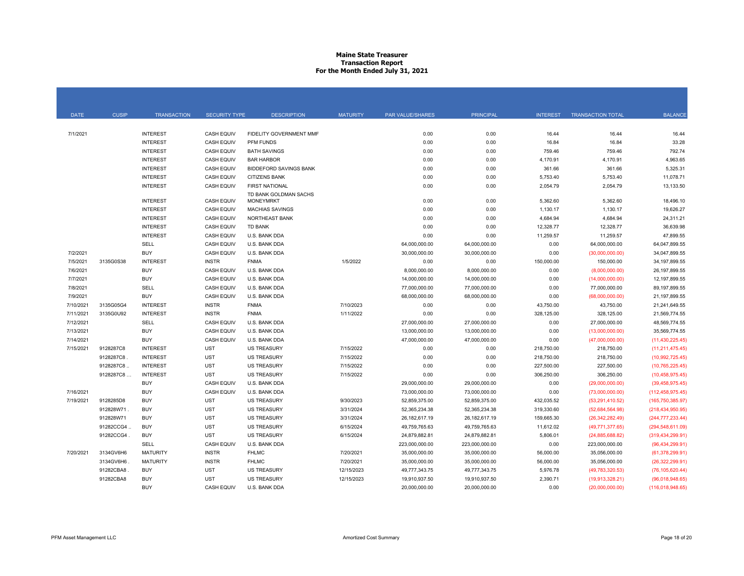## **Maine State Treasurer Transaction Report For the Month Ended July 31, 2021**

| <b>DATE</b> | <b>CUSIP</b> | <b>TRANSACTION</b> | <b>SECURITY TYPE</b> | <b>DESCRIPTION</b>                        | <b>MATURITY</b> | PAR VALUE/SHARES | <b>PRINCIPAL</b> | <b>INTEREST</b> | <b>TRANSACTION TOTAL</b> | <b>BALANCE</b>     |
|-------------|--------------|--------------------|----------------------|-------------------------------------------|-----------------|------------------|------------------|-----------------|--------------------------|--------------------|
|             |              |                    |                      |                                           |                 |                  |                  |                 |                          |                    |
| 7/1/2021    |              | <b>INTEREST</b>    | <b>CASH EQUIV</b>    | FIDELITY GOVERNMENT MMF                   |                 | 0.00             | 0.00             | 16.44           | 16.44                    | 16.44              |
|             |              | <b>INTEREST</b>    | <b>CASH EQUIV</b>    | PFM FUNDS                                 |                 | 0.00             | 0.00             | 16.84           | 16.84                    | 33.28              |
|             |              | <b>INTEREST</b>    | <b>CASH EQUIV</b>    | <b>BATH SAVINGS</b>                       |                 | 0.00             | 0.00             | 759.46          | 759.46                   | 792.74             |
|             |              | <b>INTEREST</b>    | <b>CASH EQUIV</b>    | <b>BAR HARBOR</b>                         |                 | 0.00             | 0.00             | 4,170.91        | 4,170.91                 | 4,963.65           |
|             |              | <b>INTEREST</b>    | <b>CASH EQUIV</b>    | <b>BIDDEFORD SAVINGS BANK</b>             |                 | 0.00             | 0.00             | 361.66          | 361.66                   | 5,325.31           |
|             |              | <b>INTEREST</b>    | <b>CASH EQUIV</b>    | <b>CITIZENS BANK</b>                      |                 | 0.00             | 0.00             | 5,753.40        | 5,753.40                 | 11,078.71          |
|             |              | <b>INTEREST</b>    | <b>CASH EQUIV</b>    | <b>FIRST NATIONAL</b>                     |                 | 0.00             | 0.00             | 2,054.79        | 2,054.79                 | 13,133.50          |
|             |              | <b>INTEREST</b>    | <b>CASH EQUIV</b>    | TD BANK GOLDMAN SACHS<br><b>MONEYMRKT</b> |                 | 0.00             | 0.00             | 5,362.60        | 5,362.60                 | 18,496.10          |
|             |              | <b>INTEREST</b>    | CASH EQUIV           | <b>MACHIAS SAVINGS</b>                    |                 | 0.00             | 0.00             | 1,130.17        | 1,130.17                 | 19,626.27          |
|             |              | <b>INTEREST</b>    | <b>CASH EQUIV</b>    | NORTHEAST BANK                            |                 | 0.00             | 0.00             | 4,684.94        | 4,684.94                 | 24,311.21          |
|             |              | <b>INTEREST</b>    | CASH EQUIV           | TD BANK                                   |                 | 0.00             | 0.00             | 12,328.77       | 12,328.77                | 36,639.98          |
|             |              | <b>INTEREST</b>    | <b>CASH EQUIV</b>    | U.S. BANK DDA                             |                 | 0.00             | 0.00             | 11,259.57       | 11.259.57                | 47,899.55          |
|             |              | SELL               | <b>CASH EQUIV</b>    | U.S. BANK DDA                             |                 | 64,000,000.00    | 64,000,000.00    | 0.00            | 64,000,000.00            | 64,047,899.55      |
| 7/2/2021    |              | <b>BUY</b>         | <b>CASH EQUIV</b>    | U.S. BANK DDA                             |                 | 30,000,000.00    | 30,000,000.00    | 0.00            | (30,000,000.00)          | 34.047.899.55      |
| 7/5/2021    | 3135G0S38    | <b>INTEREST</b>    | <b>INSTR</b>         | <b>FNMA</b>                               | 1/5/2022        | 0.00             | 0.00             | 150,000.00      | 150,000.00               | 34, 197, 899.55    |
| 7/6/2021    |              | <b>BUY</b>         | <b>CASH EQUIV</b>    | U.S. BANK DDA                             |                 | 8,000,000.00     | 8,000,000.00     | 0.00            | (8,000,000.00)           | 26.197.899.55      |
| 7/7/2021    |              | <b>BUY</b>         | <b>CASH EQUIV</b>    | U.S. BANK DDA                             |                 | 14,000,000.00    | 14,000,000.00    | 0.00            | (14,000,000.00)          | 12,197,899.55      |
| 7/8/2021    |              | <b>SELL</b>        | <b>CASH EQUIV</b>    | U.S. BANK DDA                             |                 | 77,000,000.00    | 77,000,000.00    | 0.00            | 77,000,000.00            | 89, 197, 899.55    |
| 7/9/2021    |              | <b>BUY</b>         | <b>CASH EQUIV</b>    | U.S. BANK DDA                             |                 | 68,000,000.00    | 68,000,000.00    | 0.00            | (68,000,000.00)          | 21,197,899.55      |
| 7/10/2021   | 3135G05G4    | <b>INTEREST</b>    | <b>INSTR</b>         | <b>FNMA</b>                               | 7/10/2023       | 0.00             | 0.00             | 43,750.00       | 43,750.00                | 21,241,649.55      |
| 7/11/2021   | 3135G0U92    | <b>INTEREST</b>    | <b>INSTR</b>         | <b>FNMA</b>                               | 1/11/2022       | 0.00             | 0.00             | 328,125.00      | 328,125.00               | 21,569,774.55      |
| 7/12/2021   |              | <b>SELL</b>        | <b>CASH EQUIV</b>    | U.S. BANK DDA                             |                 | 27,000,000.00    | 27,000,000.00    | 0.00            | 27,000,000.00            | 48,569,774.55      |
| 7/13/2021   |              | <b>BUY</b>         | <b>CASH EQUIV</b>    | U.S. BANK DDA                             |                 | 13,000,000.00    | 13,000,000.00    | 0.00            | (13,000,000.00)          | 35,569,774.55      |
| 7/14/2021   |              | <b>BUY</b>         | <b>CASH EQUIV</b>    | U.S. BANK DDA                             |                 | 47,000,000.00    | 47,000,000.00    | 0.00            | (47,000,000.00)          | (11, 430, 225.45)  |
| 7/15/2021   | 9128287C8    | <b>INTEREST</b>    | <b>UST</b>           | <b>US TREASURY</b>                        | 7/15/2022       | 0.00             | 0.00             | 218,750.00      | 218,750.00               | (11, 211, 475.45)  |
|             | 9128287C8    | <b>INTEREST</b>    | <b>UST</b>           | <b>US TREASURY</b>                        | 7/15/2022       | 0.00             | 0.00             | 218,750.00      | 218,750.00               | (10,992,725.45)    |
|             | 9128287C8.   | <b>INTEREST</b>    | <b>UST</b>           | <b>US TREASURY</b>                        | 7/15/2022       | 0.00             | 0.00             | 227,500.00      | 227,500.00               | (10, 765, 225.45)  |
|             | 9128287C8    | <b>INTEREST</b>    | <b>UST</b>           | <b>US TREASURY</b>                        | 7/15/2022       | 0.00             | 0.00             | 306,250.00      | 306,250.00               | (10, 458, 975.45)  |
|             |              | <b>BUY</b>         | <b>CASH EQUIV</b>    | U.S. BANK DDA                             |                 | 29,000,000.00    | 29,000,000.00    | 0.00            | (29,000,000.00)          | (39, 458, 975.45)  |
| 7/16/2021   |              | <b>BUY</b>         | <b>CASH EQUIV</b>    | U.S. BANK DDA                             |                 | 73,000,000.00    | 73,000,000.00    | 0.00            | (73,000,000.00)          | (112, 458, 975.45) |
| 7/19/2021   | 9128285D8    | <b>BUY</b>         | <b>UST</b>           | <b>US TREASURY</b>                        | 9/30/2023       | 52,859,375.00    | 52,859,375.00    | 432,035.52      | (53, 291, 410.52)        | (165, 750, 385.97) |
|             | 912828W71    | <b>BUY</b>         | <b>UST</b>           | <b>US TREASURY</b>                        | 3/31/2024       | 52,365,234.38    | 52,365,234.38    | 319,330.60      | (52,684,564.98)          | (218, 434, 950.95) |
|             | 912828W71    | <b>BUY</b>         | <b>UST</b>           | <b>US TREASURY</b>                        | 3/31/2024       | 26, 182, 617. 19 | 26,182,617.19    | 159,665.30      | (26, 342, 282.49)        | (244, 777, 233.44) |
|             | 91282CCG4    | <b>BUY</b>         | <b>UST</b>           | <b>US TREASURY</b>                        | 6/15/2024       | 49,759,765.63    | 49,759,765.63    | 11,612.02       | (49,771,377.65)          | (294, 548, 611.09) |
|             | 91282CCG4    | <b>BUY</b>         | <b>UST</b>           | <b>US TREASURY</b>                        | 6/15/2024       | 24,879,882.81    | 24,879,882.81    | 5,806.01        | (24,885,688.82)          | (319, 434, 299.91) |
|             |              | <b>SELL</b>        | CASH EQUIV           | U.S. BANK DDA                             |                 | 223,000,000.00   | 223,000,000.00   | 0.00            | 223,000,000.00           | (96, 434, 299.91)  |
| 7/20/2021   | 3134GV6H6    | <b>MATURITY</b>    | <b>INSTR</b>         | <b>FHLMC</b>                              | 7/20/2021       | 35,000,000.00    | 35,000,000.00    | 56,000.00       | 35,056,000.00            | (61, 378, 299.91)  |
|             | 3134GV6H6    | <b>MATURITY</b>    | <b>INSTR</b>         | <b>FHLMC</b>                              | 7/20/2021       | 35,000,000.00    | 35,000,000.00    | 56,000.00       | 35,056,000.00            | (26,322,299.91)    |
|             | 91282CBA8    | <b>BUY</b>         | <b>UST</b>           | <b>US TREASURY</b>                        | 12/15/2023      | 49,777,343.75    | 49,777,343.75    | 5,976.78        | (49,783,320.53)          | (76, 105, 620.44)  |
|             | 91282CBA8    | <b>BUY</b>         | <b>UST</b>           | <b>US TREASURY</b>                        | 12/15/2023      | 19,910,937.50    | 19,910,937.50    | 2,390.71        | (19,913,328.21)          | (96,018,948.65)    |
|             |              | <b>BUY</b>         | <b>CASH EQUIV</b>    | U.S. BANK DDA                             |                 | 20,000,000.00    | 20,000,000.00    | 0.00            | (20,000,000.00)          | (116,018,948.65)   |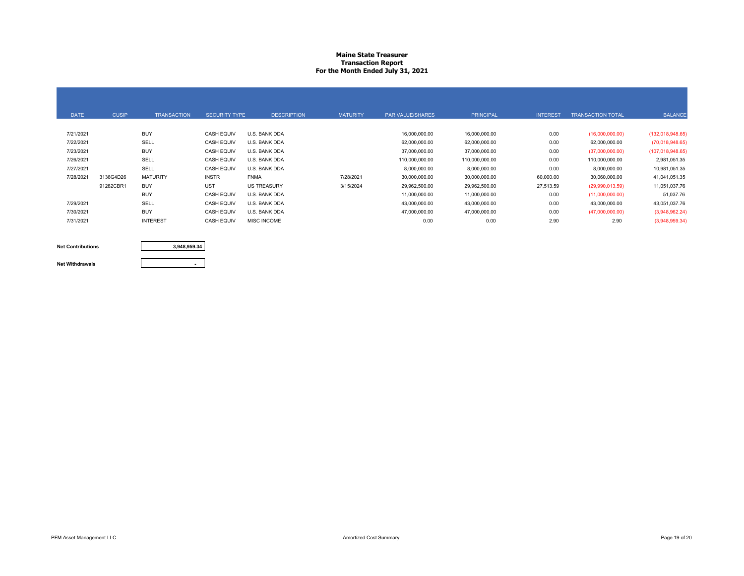### **Maine State Treasurer Transaction Report For the Month Ended July 31, 2021**

| <b>DATE</b> | <b>CUSIP</b> | <b>TRANSACTION</b> | <b>SECURITY TYPE</b> | <b>DESCRIPTION</b> | <b>MATURITY</b> | <b>PAR VALUE/SHARES</b> | <b>PRINCIPAL</b> | <b>INTEREST</b> | <b>TRANSACTION TOTAL</b> | <b>BALANCE</b>     |
|-------------|--------------|--------------------|----------------------|--------------------|-----------------|-------------------------|------------------|-----------------|--------------------------|--------------------|
| 7/21/2021   |              | <b>BUY</b>         | <b>CASH EQUIV</b>    | U.S. BANK DDA      |                 | 16,000,000.00           | 16,000,000.00    | 0.00            | (16,000,000.00)          | (132,018,948.65)   |
| 7/22/2021   |              | SELL               | <b>CASH EQUIV</b>    | U.S. BANK DDA      |                 | 62,000,000.00           | 62,000,000.00    | 0.00            | 62,000,000.00            | (70,018,948.65)    |
| 7/23/2021   |              | <b>BUY</b>         | <b>CASH EQUIV</b>    | U.S. BANK DDA      |                 | 37,000,000.00           | 37,000,000.00    | 0.00            | (37,000,000.00)          | (107, 018, 948.65) |
| 7/26/2021   |              | SELL               | <b>CASH EQUIV</b>    | U.S. BANK DDA      |                 | 110.000.000.00          | 110,000,000.00   | 0.00            | 110.000.000.00           | 2,981,051.35       |
| 7/27/2021   |              | SELL               | <b>CASH EQUIV</b>    | U.S. BANK DDA      |                 | 8,000,000.00            | 8,000,000.00     | 0.00            | 8,000,000.00             | 10,981,051.35      |
| 7/28/2021   | 3136G4D26    | <b>MATURITY</b>    | <b>INSTR</b>         | <b>FNMA</b>        | 7/28/2021       | 30,000,000.00           | 30,000,000.00    | 60,000.00       | 30,060,000.00            | 41,041,051.35      |
|             | 91282CBR1    | <b>BUY</b>         | <b>UST</b>           | <b>US TREASURY</b> | 3/15/2024       | 29,962,500.00           | 29,962,500.00    | 27,513.59       | (29,990,013.59)          | 11,051,037.76      |
|             |              | <b>BUY</b>         | <b>CASH EQUIV</b>    | U.S. BANK DDA      |                 | 11,000,000.00           | 11,000,000.00    | 0.00            | (11,000,000.00)          | 51,037.76          |
| 7/29/2021   |              | SELL               | <b>CASH EQUIV</b>    | U.S. BANK DDA      |                 | 43,000,000.00           | 43,000,000.00    | 0.00            | 43,000,000.00            | 43,051,037.76      |
| 7/30/2021   |              | <b>BUY</b>         | <b>CASH EQUIV</b>    | U.S. BANK DDA      |                 | 47,000,000.00           | 47,000,000.00    | 0.00            | (47,000,000.00)          | (3,948,962.24)     |
| 7/31/2021   |              | <b>INTEREST</b>    | <b>CASH EQUIV</b>    | <b>MISC INCOME</b> |                 | 0.00                    | 0.00             | 2.90            | 2.90                     | (3,948,959.34)     |

#### **Net Contributions**

**3,948,959.34**

#### **Net Withdrawals**